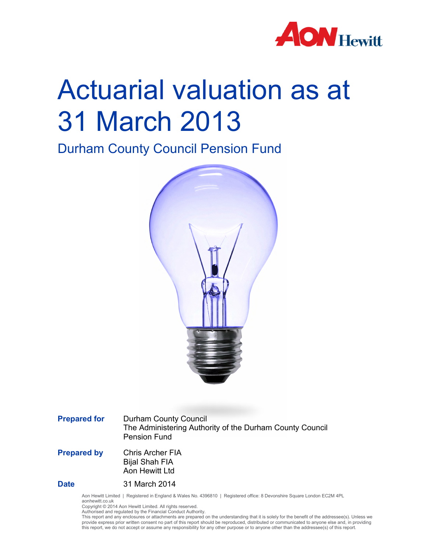

# Actuarial valuation as at 31 March 2013

Durham County Council Pension Fund



**Prepared for** Durham County Council The Administering Authority of the Durham County Council Pension Fund

**Prepared by** Chris Archer FIA Bijal Shah FIA Aon Hewitt Ltd

**Date** 31 March 2014

Aon Hewitt Limited | Registered in England & Wales No. 4396810 | Registered office: 8 Devonshire Square London EC2M 4PL aonhewitt.co.uk

Copyright © 2014 Aon Hewitt Limited. All rights reserved. Authorised and regulated by the Financial Conduct Authority.

This report and any enclosures or attachments are prepared on the understanding that it is solely for the benefit of the addressee(s). Unless we provide express prior written consent no part of this report should be reproduced, distributed or communicated to anyone else and, in providing this report, we do not accept or assume any responsibility for any other purpose or to anyone other than the addressee(s) of this report.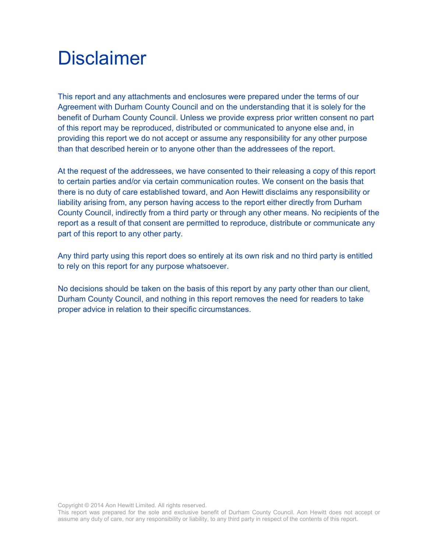### **Disclaimer**

This report and any attachments and enclosures were prepared under the terms of our Agreement with Durham County Council and on the understanding that it is solely for the benefit of Durham County Council. Unless we provide express prior written consent no part of this report may be reproduced, distributed or communicated to anyone else and, in providing this report we do not accept or assume any responsibility for any other purpose than that described herein or to anyone other than the addressees of the report.

At the request of the addressees, we have consented to their releasing a copy of this report to certain parties and/or via certain communication routes. We consent on the basis that there is no duty of care established toward, and Aon Hewitt disclaims any responsibility or liability arising from, any person having access to the report either directly from Durham County Council, indirectly from a third party or through any other means. No recipients of the report as a result of that consent are permitted to reproduce, distribute or communicate any part of this report to any other party.

Any third party using this report does so entirely at its own risk and no third party is entitled to rely on this report for any purpose whatsoever.

No decisions should be taken on the basis of this report by any party other than our client, Durham County Council, and nothing in this report removes the need for readers to take proper advice in relation to their specific circumstances.

Copyright © 2014 Aon Hewitt Limited. All rights reserved.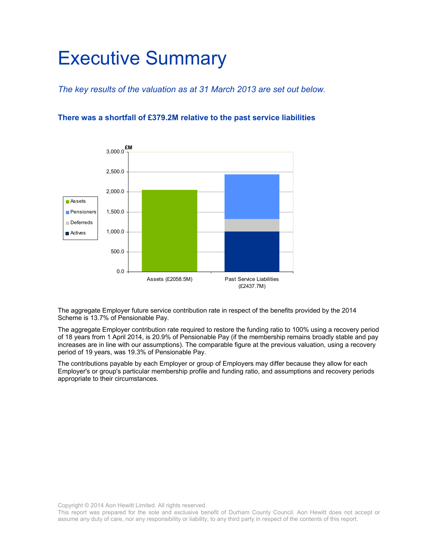### Executive Summary

*The key results of the valuation as at 31 March 2013 are set out below.* 

#### **There was a shortfall of £379.2M relative to the past service liabilities**



The aggregate Employer future service contribution rate in respect of the benefits provided by the 2014 Scheme is 13.7% of Pensionable Pay.

The aggregate Employer contribution rate required to restore the funding ratio to 100% using a recovery period of 18 years from 1 April 2014, is 20.9% of Pensionable Pay (if the membership remains broadly stable and pay increases are in line with our assumptions). The comparable figure at the previous valuation, using a recovery period of 19 years, was 19.3% of Pensionable Pay.

The contributions payable by each Employer or group of Employers may differ because they allow for each Employer's or group's particular membership profile and funding ratio, and assumptions and recovery periods appropriate to their circumstances.

Copyright © 2014 Aon Hewitt Limited. All rights reserved.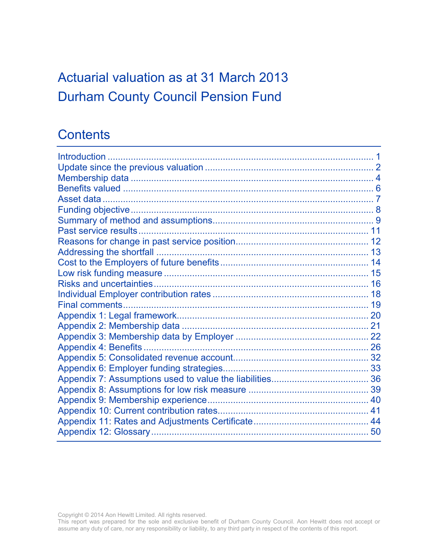### Actuarial valuation as at 31 March 2013 Durham County Council Pension Fund

### **Contents**

Copyright © 2014 Aon Hewitt Limited. All rights reserved.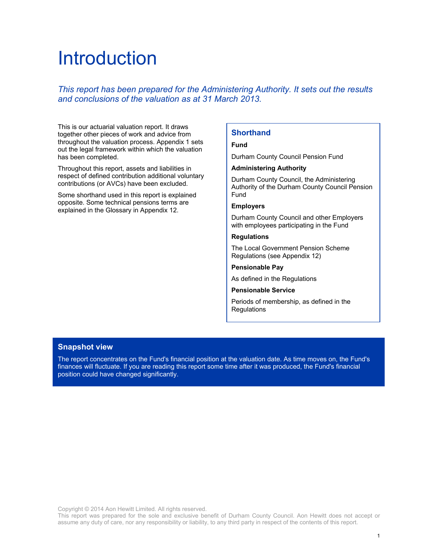### Introduction

#### *This report has been prepared for the Administering Authority. It sets out the results and conclusions of the valuation as at 31 March 2013.*

This is our actuarial valuation report. It draws together other pieces of work and advice from throughout the valuation process. Appendix 1 sets out the legal framework within which the valuation has been completed.

Throughout this report, assets and liabilities in respect of defined contribution additional voluntary contributions (or AVCs) have been excluded.

Some shorthand used in this report is explained opposite. Some technical pensions terms are explained in the Glossary in Appendix 12.

#### **Shorthand**

#### **Fund**

Durham County Council Pension Fund

#### **Administering Authority**

Durham County Council, the Administering Authority of the Durham County Council Pension Fund

#### **Employers**

Durham County Council and other Employers with employees participating in the Fund

#### **Regulations**

The Local Government Pension Scheme Regulations (see Appendix 12)

#### **Pensionable Pay**

As defined in the Regulations

#### **Pensionable Service**

Periods of membership, as defined in the Regulations

#### **Snapshot view**

The report concentrates on the Fund's financial position at the valuation date. As time moves on, the Fund's finances will fluctuate. If you are reading this report some time after it was produced, the Fund's financial position could have changed significantly.

Copyright © 2014 Aon Hewitt Limited. All rights reserved.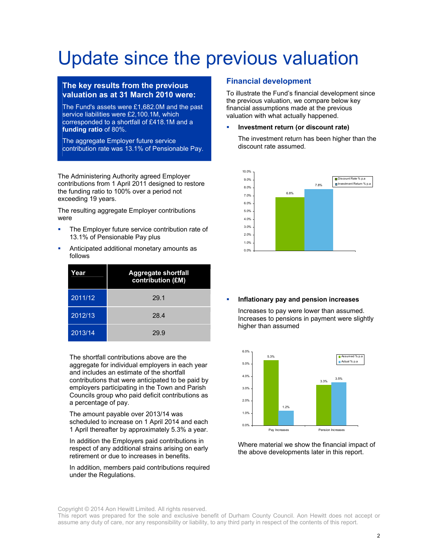### Update since the previous valuation

#### **The key results from the previous valuation as at 31 March 2010 were:**

The Fund's assets were £1,682.0M and the past service liabilities were £2,100.1M, which corresponded to a shortfall of £418.1M and a **funding ratio** of 80%.

The aggregate Employer future service contribution rate was 13.1% of Pensionable Pay.

The Administering Authority agreed Employer contributions from 1 April 2011 designed to restore the funding ratio to 100% over a period not exceeding 19 years.

The resulting aggregate Employer contributions were

- **The Employer future service contribution rate of** 13.1% of Pensionable Pay plus
- **Anticipated additional monetary amounts as** follows

| Year    | <b>Aggregate shortfall</b><br>contribution (£M) |
|---------|-------------------------------------------------|
| 2011/12 | 29.1                                            |
| 2012/13 | 28.4                                            |
| 2013/14 | 29.9                                            |

The shortfall contributions above are the aggregate for individual employers in each year and includes an estimate of the shortfall contributions that were anticipated to be paid by employers participating in the Town and Parish Councils group who paid deficit contributions as a percentage of pay.

The amount payable over 2013/14 was scheduled to increase on 1 April 2014 and each 1 April thereafter by approximately 5.3% a year.

In addition the Employers paid contributions in respect of any additional strains arising on early retirement or due to increases in benefits.

In addition, members paid contributions required under the Regulations.

#### **Financial development**

To illustrate the Fund's financial development since the previous valuation, we compare below key financial assumptions made at the previous valuation with what actually happened.

**Investment return (or discount rate)** 

The investment return has been higher than the discount rate assumed.



**Inflationary pay and pension increases**

Increases to pay were lower than assumed. Increases to pensions in payment were slightly higher than assumed



Where material we show the financial impact of the above developments later in this report.

Copyright © 2014 Aon Hewitt Limited. All rights reserved.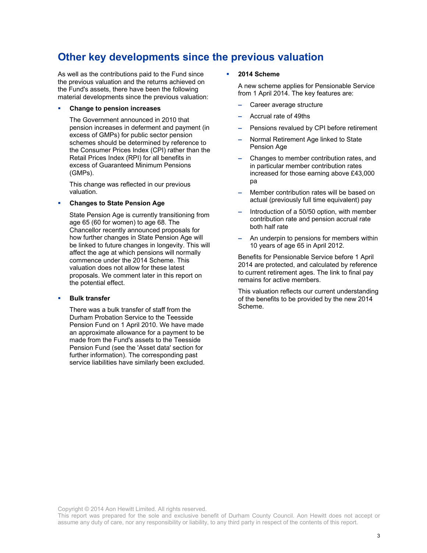### **Other key developments since the previous valuation**

As well as the contributions paid to the Fund since the previous valuation and the returns achieved on the Fund's assets, there have been the following material developments since the previous valuation:

#### **Change to pension increases**

The Government announced in 2010 that pension increases in deferment and payment (in excess of GMPs) for public sector pension schemes should be determined by reference to the Consumer Prices Index (CPI) rather than the Retail Prices Index (RPI) for all benefits in excess of Guaranteed Minimum Pensions (GMPs).

This change was reflected in our previous valuation.

#### **Changes to State Pension Age**

State Pension Age is currently transitioning from age 65 (60 for women) to age 68. The Chancellor recently announced proposals for how further changes in State Pension Age will be linked to future changes in longevity. This will affect the age at which pensions will normally commence under the 2014 Scheme. This valuation does not allow for these latest proposals. We comment later in this report on the potential effect.

#### **Bulk transfer**

There was a bulk transfer of staff from the Durham Probation Service to the Teesside Pension Fund on 1 April 2010. We have made an approximate allowance for a payment to be made from the Fund's assets to the Teesside Pension Fund (see the 'Asset data' section for further information). The corresponding past service liabilities have similarly been excluded.

#### **2014 Scheme**

A new scheme applies for Pensionable Service from 1 April 2014. The key features are:

- Career average structure
- Accrual rate of 49ths
- Pensions revalued by CPI before retirement
- Normal Retirement Age linked to State Pension Age
- Changes to member contribution rates, and in particular member contribution rates increased for those earning above £43,000 pa
- Member contribution rates will be based on actual (previously full time equivalent) pay
- Introduction of a 50/50 option, with member contribution rate and pension accrual rate both half rate
- An underpin to pensions for members within 10 years of age 65 in April 2012.

Benefits for Pensionable Service before 1 April 2014 are protected, and calculated by reference to current retirement ages. The link to final pay remains for active members.

This valuation reflects our current understanding of the benefits to be provided by the new 2014 Scheme.

Copyright © 2014 Aon Hewitt Limited. All rights reserved.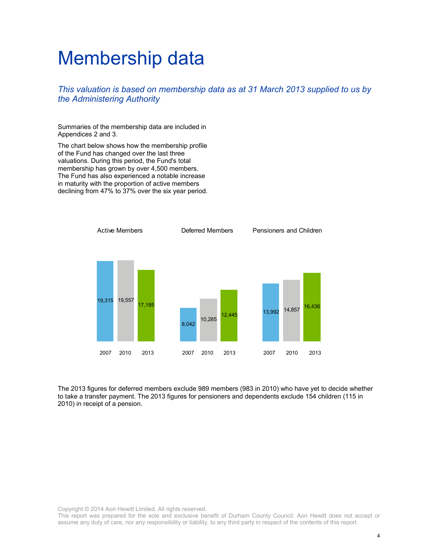### Membership data

*This valuation is based on membership data as at 31 March 2013 supplied to us by the Administering Authority* 

Summaries of the membership data are included in Appendices 2 and 3.

The chart below shows how the membership profile of the Fund has changed over the last three valuations. During this period, the Fund's total membership has grown by over 4,500 members. The Fund has also experienced a notable increase in maturity with the proportion of active members declining from 47% to 37% over the six year period.



The 2013 figures for deferred members exclude 989 members (983 in 2010) who have yet to decide whether to take a transfer payment. The 2013 figures for pensioners and dependents exclude 154 children (115 in 2010) in receipt of a pension.

Copyright © 2014 Aon Hewitt Limited. All rights reserved.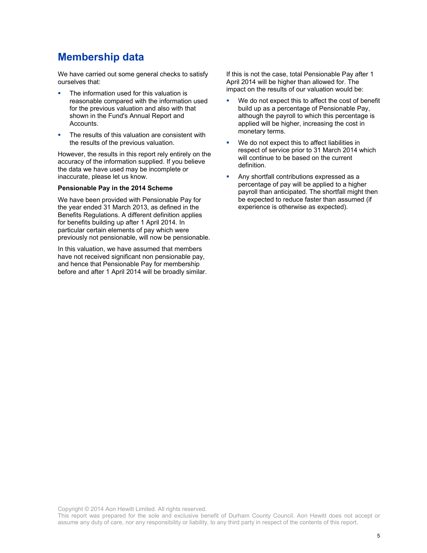### **Membership data**

We have carried out some general checks to satisfy ourselves that:

- The information used for this valuation is reasonable compared with the information used for the previous valuation and also with that shown in the Fund's Annual Report and Accounts.
- The results of this valuation are consistent with the results of the previous valuation.

However, the results in this report rely entirely on the accuracy of the information supplied. If you believe the data we have used may be incomplete or inaccurate, please let us know.

#### **Pensionable Pay in the 2014 Scheme**

We have been provided with Pensionable Pay for the year ended 31 March 2013, as defined in the Benefits Regulations. A different definition applies for benefits building up after 1 April 2014. In particular certain elements of pay which were previously not pensionable, will now be pensionable.

In this valuation, we have assumed that members have not received significant non pensionable pay, and hence that Pensionable Pay for membership before and after 1 April 2014 will be broadly similar. If this is not the case, total Pensionable Pay after 1 April 2014 will be higher than allowed for. The impact on the results of our valuation would be:

- We do not expect this to affect the cost of benefit build up as a percentage of Pensionable Pay, although the payroll to which this percentage is applied will be higher, increasing the cost in monetary terms.
- We do not expect this to affect liabilities in respect of service prior to 31 March 2014 which will continue to be based on the current definition.
- Any shortfall contributions expressed as a percentage of pay will be applied to a higher payroll than anticipated. The shortfall might then be expected to reduce faster than assumed (if experience is otherwise as expected).

Copyright © 2014 Aon Hewitt Limited. All rights reserved.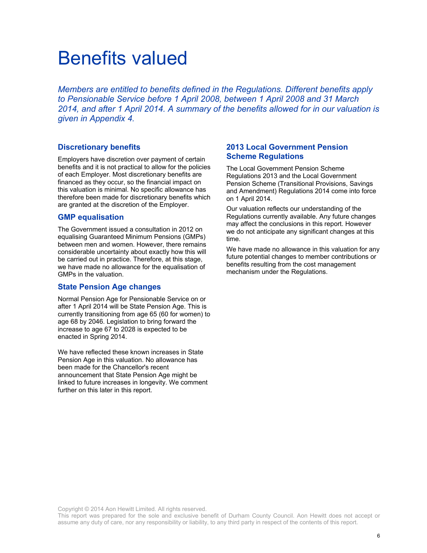### Benefits valued

*Members are entitled to benefits defined in the Regulations. Different benefits apply to Pensionable Service before 1 April 2008, between 1 April 2008 and 31 March 2014, and after 1 April 2014. A summary of the benefits allowed for in our valuation is given in Appendix 4.* 

#### **Discretionary benefits**

Employers have discretion over payment of certain benefits and it is not practical to allow for the policies of each Employer. Most discretionary benefits are financed as they occur, so the financial impact on this valuation is minimal. No specific allowance has therefore been made for discretionary benefits which are granted at the discretion of the Employer.

#### **GMP equalisation**

The Government issued a consultation in 2012 on equalising Guaranteed Minimum Pensions (GMPs) between men and women. However, there remains considerable uncertainty about exactly how this will be carried out in practice. Therefore, at this stage, we have made no allowance for the equalisation of GMPs in the valuation.

#### **State Pension Age changes**

Normal Pension Age for Pensionable Service on or after 1 April 2014 will be State Pension Age. This is currently transitioning from age 65 (60 for women) to age 68 by 2046. Legislation to bring forward the increase to age 67 to 2028 is expected to be enacted in Spring 2014.

We have reflected these known increases in State Pension Age in this valuation. No allowance has been made for the Chancellor's recent announcement that State Pension Age might be linked to future increases in longevity. We comment further on this later in this report.

#### **2013 Local Government Pension Scheme Regulations**

The Local Government Pension Scheme Regulations 2013 and the Local Government Pension Scheme (Transitional Provisions, Savings and Amendment) Regulations 2014 come into force on 1 April 2014.

Our valuation reflects our understanding of the Regulations currently available. Any future changes may affect the conclusions in this report. However we do not anticipate any significant changes at this time.

We have made no allowance in this valuation for any future potential changes to member contributions or benefits resulting from the cost management mechanism under the Regulations.

Copyright © 2014 Aon Hewitt Limited. All rights reserved.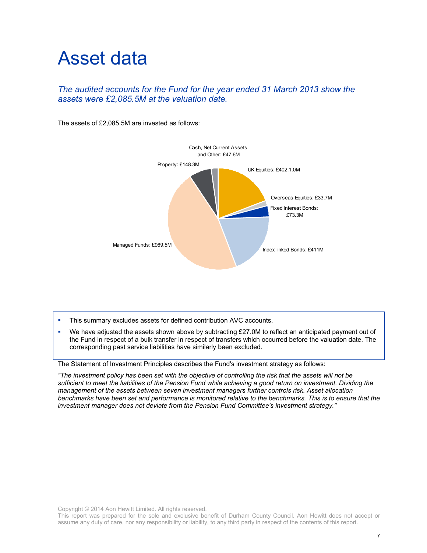### Asset data

#### *The audited accounts for the Fund for the year ended 31 March 2013 show the assets were £2,085.5M at the valuation date.*

The assets of £2,085.5M are invested as follows:



- This summary excludes assets for defined contribution AVC accounts.
- We have adjusted the assets shown above by subtracting £27.0M to reflect an anticipated payment out of the Fund in respect of a bulk transfer in respect of transfers which occurred before the valuation date. The corresponding past service liabilities have similarly been excluded.

The Statement of Investment Principles describes the Fund's investment strategy as follows:

*"The investment policy has been set with the objective of controlling the risk that the assets will not be sufficient to meet the liabilities of the Pension Fund while achieving a good return on investment. Dividing the management of the assets between seven investment managers further controls risk. Asset allocation benchmarks have been set and performance is monitored relative to the benchmarks. This is to ensure that the investment manager does not deviate from the Pension Fund Committee's investment strategy."*

Copyright © 2014 Aon Hewitt Limited. All rights reserved.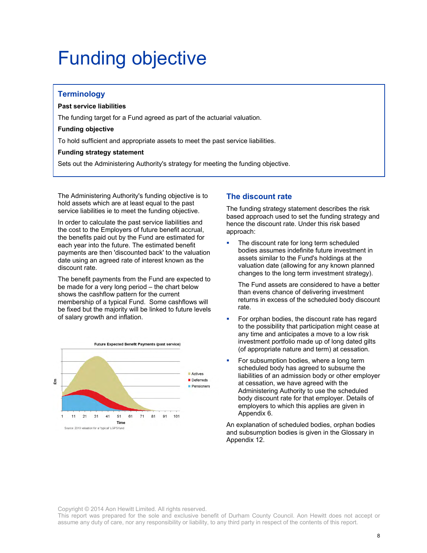### Funding objective

#### **Terminology**

#### **Past service liabilities**

The funding target for a Fund agreed as part of the actuarial valuation.

#### **Funding objective**

To hold sufficient and appropriate assets to meet the past service liabilities.

#### **Funding strategy statement**

Sets out the Administering Authority's strategy for meeting the funding objective.

The Administering Authority's funding objective is to hold assets which are at least equal to the past service liabilities ie to meet the funding objective.

In order to calculate the past service liabilities and the cost to the Employers of future benefit accrual, the benefits paid out by the Fund are estimated for each year into the future. The estimated benefit payments are then 'discounted back' to the valuation date using an agreed rate of interest known as the discount rate.

The benefit payments from the Fund are expected to be made for a very long period – the chart below shows the cashflow pattern for the current membership of a typical Fund. Some cashflows will be fixed but the majority will be linked to future levels of salary growth and inflation.



#### **The discount rate**

The funding strategy statement describes the risk based approach used to set the funding strategy and hence the discount rate. Under this risk based approach:

 The discount rate for long term scheduled bodies assumes indefinite future investment in assets similar to the Fund's holdings at the valuation date (allowing for any known planned changes to the long term investment strategy).

The Fund assets are considered to have a better than evens chance of delivering investment returns in excess of the scheduled body discount rate.

- For orphan bodies, the discount rate has regard to the possibility that participation might cease at any time and anticipates a move to a low risk investment portfolio made up of long dated gilts (of appropriate nature and term) at cessation.
- For subsumption bodies, where a long term scheduled body has agreed to subsume the liabilities of an admission body or other employer at cessation, we have agreed with the Administering Authority to use the scheduled body discount rate for that employer. Details of employers to which this applies are given in Appendix 6.

An explanation of scheduled bodies, orphan bodies and subsumption bodies is given in the Glossary in Appendix 12.

Copyright © 2014 Aon Hewitt Limited. All rights reserved.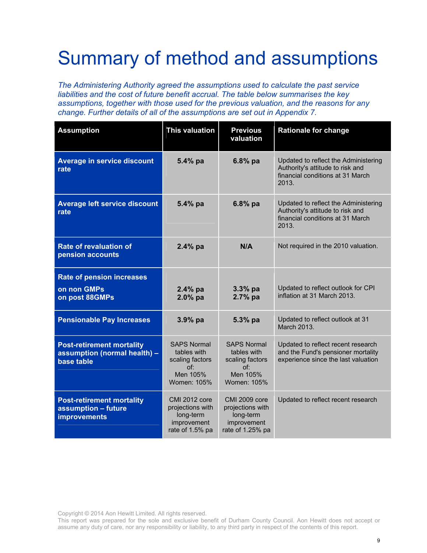## Summary of method and assumptions

*The Administering Authority agreed the assumptions used to calculate the past service liabilities and the cost of future benefit accrual. The table below summarises the key assumptions, together with those used for the previous valuation, and the reasons for any change. Further details of all of the assumptions are set out in Appendix 7.* 

| <b>Assumption</b>                                                              | <b>This valuation</b>                                                                  | <b>Previous</b><br>valuation                                                             | <b>Rationale for change</b>                                                                                           |
|--------------------------------------------------------------------------------|----------------------------------------------------------------------------------------|------------------------------------------------------------------------------------------|-----------------------------------------------------------------------------------------------------------------------|
| Average in service discount<br>rate                                            | 5.4% pa                                                                                | 6.8% pa                                                                                  | Updated to reflect the Administering<br>Authority's attitude to risk and<br>financial conditions at 31 March<br>2013. |
| Average left service discount<br>rate                                          | $5.4\%$ pa                                                                             | $6.8%$ pa                                                                                | Updated to reflect the Administering<br>Authority's attitude to risk and<br>financial conditions at 31 March<br>2013. |
| <b>Rate of revaluation of</b><br>pension accounts                              | 2.4% pa                                                                                | N/A                                                                                      | Not required in the 2010 valuation.                                                                                   |
| <b>Rate of pension increases</b><br>on non GMPs<br>on post 88GMPs              | $2.4%$ pa<br>$2.0\%$ pa                                                                | $3.3%$ pa<br>2.7% pa                                                                     | Updated to reflect outlook for CPI<br>inflation at 31 March 2013.                                                     |
| <b>Pensionable Pay Increases</b>                                               | $3.9%$ pa                                                                              | 5.3% pa                                                                                  | Updated to reflect outlook at 31<br>March 2013.                                                                       |
| <b>Post-retirement mortality</b><br>assumption (normal health) -<br>base table | <b>SAPS Normal</b><br>tables with<br>scaling factors<br>Of:<br>Men 105%<br>Women: 105% | <b>SAPS Normal</b><br>tables with<br>scaling factors<br>Of:<br>Men 105%<br>Women: 105%   | Updated to reflect recent research<br>and the Fund's pensioner mortality<br>experience since the last valuation       |
| <b>Post-retirement mortality</b><br>assumption - future<br><b>improvements</b> | CMI 2012 core<br>projections with<br>long-term<br>improvement<br>rate of 1.5% pa       | <b>CMI 2009 core</b><br>projections with<br>long-term<br>improvement<br>rate of 1.25% pa | Updated to reflect recent research                                                                                    |

Copyright © 2014 Aon Hewitt Limited. All rights reserved.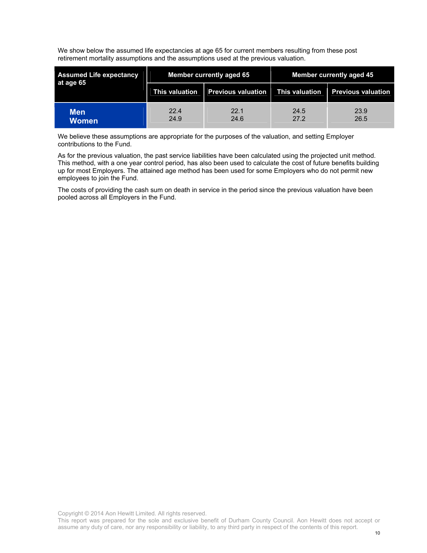We show below the assumed life expectancies at age 65 for current members resulting from these post retirement mortality assumptions and the assumptions used at the previous valuation.

| <b>Assumed Life expectancy</b><br>at age 65 |                | <b>Member currently aged 65</b> | <b>Member currently aged 45</b> |                           |  |
|---------------------------------------------|----------------|---------------------------------|---------------------------------|---------------------------|--|
|                                             | This valuation | <b>Previous valuation</b>       | This valuation                  | <b>Previous valuation</b> |  |
| Men'<br>Women                               | 22.4<br>24.9   | 22.1<br>24.6                    | 24.5<br>27.2                    | 23.9<br>26.5              |  |

We believe these assumptions are appropriate for the purposes of the valuation, and setting Employer contributions to the Fund.

As for the previous valuation, the past service liabilities have been calculated using the projected unit method. This method, with a one year control period, has also been used to calculate the cost of future benefits building up for most Employers. The attained age method has been used for some Employers who do not permit new employees to join the Fund.

The costs of providing the cash sum on death in service in the period since the previous valuation have been pooled across all Employers in the Fund.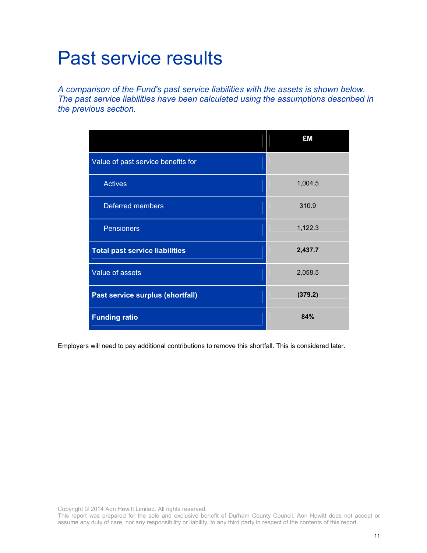### Past service results

*A comparison of the Fund's past service liabilities with the assets is shown below. The past service liabilities have been calculated using the assumptions described in the previous section.* 

|                                       | £M      |
|---------------------------------------|---------|
| Value of past service benefits for    |         |
| <b>Actives</b>                        | 1,004.5 |
| <b>Deferred members</b>               | 310.9   |
| <b>Pensioners</b>                     | 1,122.3 |
| <b>Total past service liabilities</b> | 2,437.7 |
| Value of assets                       | 2,058.5 |
| Past service surplus (shortfall)      | (379.2) |
| <b>Funding ratio</b>                  | 84%     |

Employers will need to pay additional contributions to remove this shortfall. This is considered later.

This report was prepared for the sole and exclusive benefit of Durham County Council. Aon Hewitt does not accept or assume any duty of care, nor any responsibility or liability, to any third party in respect of the contents of this report.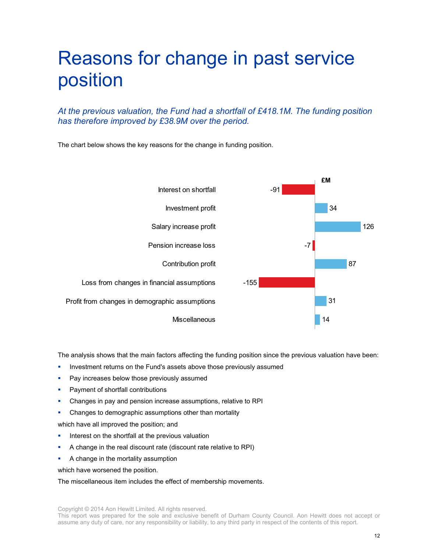### Reasons for change in past service position

*At the previous valuation, the Fund had a shortfall of £418.1M. The funding position has therefore improved by £38.9M over the period.* 

The chart below shows the key reasons for the change in funding position.



The analysis shows that the main factors affecting the funding position since the previous valuation have been:

- Investment returns on the Fund's assets above those previously assumed
- Pay increases below those previously assumed
- Payment of shortfall contributions
- Changes in pay and pension increase assumptions, relative to RPI
- Changes to demographic assumptions other than mortality

which have all improved the position; and

- Interest on the shortfall at the previous valuation
- A change in the real discount rate (discount rate relative to RPI)
- A change in the mortality assumption

which have worsened the position.

The miscellaneous item includes the effect of membership movements.

This report was prepared for the sole and exclusive benefit of Durham County Council. Aon Hewitt does not accept or assume any duty of care, nor any responsibility or liability, to any third party in respect of the contents of this report.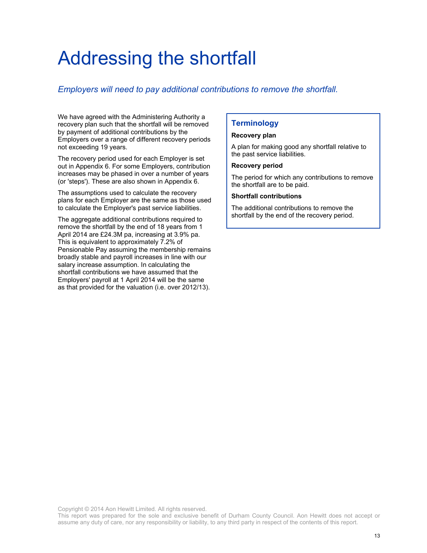### Addressing the shortfall

#### *Employers will need to pay additional contributions to remove the shortfall.*

We have agreed with the Administering Authority a recovery plan such that the shortfall will be removed by payment of additional contributions by the Employers over a range of different recovery periods not exceeding 19 years.

The recovery period used for each Employer is set out in Appendix 6. For some Employers, contribution increases may be phased in over a number of years (or 'steps'). These are also shown in Appendix 6.

The assumptions used to calculate the recovery plans for each Employer are the same as those used to calculate the Employer's past service liabilities.

The aggregate additional contributions required to remove the shortfall by the end of 18 years from 1 April 2014 are £24.3M pa, increasing at 3.9% pa. This is equivalent to approximately 7.2% of Pensionable Pay assuming the membership remains broadly stable and payroll increases in line with our salary increase assumption. In calculating the shortfall contributions we have assumed that the Employers' payroll at 1 April 2014 will be the same as that provided for the valuation (i.e. over 2012/13).

#### **Terminology**

#### **Recovery plan**

A plan for making good any shortfall relative to the past service liabilities.

#### **Recovery period**

The period for which any contributions to remove the shortfall are to be paid.

#### **Shortfall contributions**

The additional contributions to remove the shortfall by the end of the recovery period.

Copyright © 2014 Aon Hewitt Limited. All rights reserved.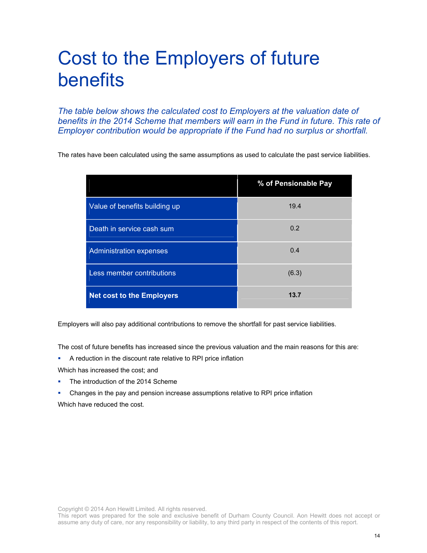### Cost to the Employers of future benefits

*The table below shows the calculated cost to Employers at the valuation date of benefits in the 2014 Scheme that members will earn in the Fund in future. This rate of Employer contribution would be appropriate if the Fund had no surplus or shortfall.* 

The rates have been calculated using the same assumptions as used to calculate the past service liabilities.

|                                  | % of Pensionable Pay |
|----------------------------------|----------------------|
| Value of benefits building up    | 19.4                 |
| Death in service cash sum        | 0.2                  |
| <b>Administration expenses</b>   | 0.4                  |
| Less member contributions        | (6.3)                |
| <b>Net cost to the Employers</b> | 13.7                 |

Employers will also pay additional contributions to remove the shortfall for past service liabilities.

The cost of future benefits has increased since the previous valuation and the main reasons for this are:

A reduction in the discount rate relative to RPI price inflation

Which has increased the cost; and

- The introduction of the 2014 Scheme
- Changes in the pay and pension increase assumptions relative to RPI price inflation Which have reduced the cost.

Copyright © 2014 Aon Hewitt Limited. All rights reserved.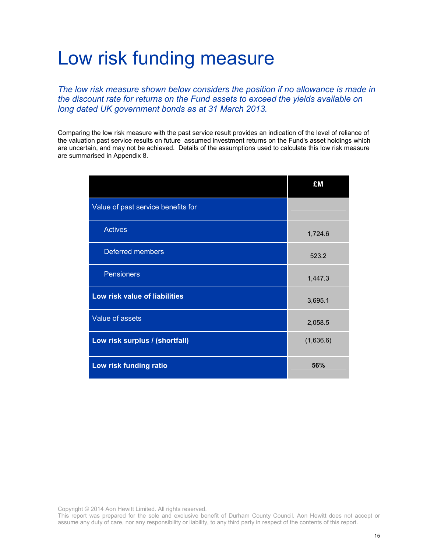### Low risk funding measure

*The low risk measure shown below considers the position if no allowance is made in the discount rate for returns on the Fund assets to exceed the yields available on long dated UK government bonds as at 31 March 2013.* 

Comparing the low risk measure with the past service result provides an indication of the level of reliance of the valuation past service results on future assumed investment returns on the Fund's asset holdings which are uncertain, and may not be achieved. Details of the assumptions used to calculate this low risk measure are summarised in Appendix 8.

|                                    | £M        |
|------------------------------------|-----------|
| Value of past service benefits for |           |
| <b>Actives</b>                     | 1,724.6   |
| Deferred members                   | 523.2     |
| <b>Pensioners</b>                  | 1,447.3   |
| Low risk value of liabilities      | 3,695.1   |
| Value of assets                    | 2,058.5   |
| Low risk surplus / (shortfall)     | (1,636.6) |
| Low risk funding ratio             | 56%       |

Copyright © 2014 Aon Hewitt Limited. All rights reserved.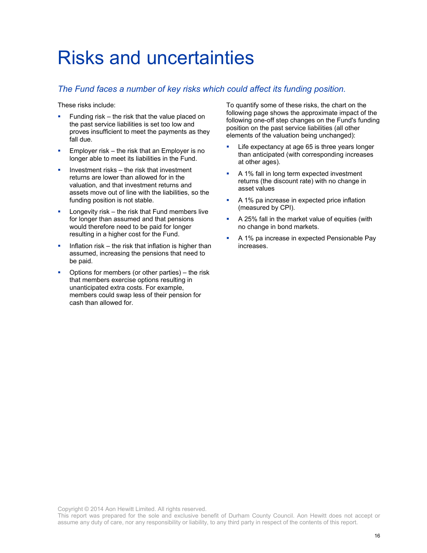### Risks and uncertainties

#### *The Fund faces a number of key risks which could affect its funding position.*

These risks include:

- Funding risk the risk that the value placed on the past service liabilities is set too low and proves insufficient to meet the payments as they fall due.
- **Employer risk the risk that an Employer is no** longer able to meet its liabilities in the Fund.
- Investment risks the risk that investment returns are lower than allowed for in the valuation, and that investment returns and assets move out of line with the liabilities, so the funding position is not stable.
- Longevity risk the risk that Fund members live for longer than assumed and that pensions would therefore need to be paid for longer resulting in a higher cost for the Fund.
- $\blacksquare$  Inflation risk the risk that inflation is higher than assumed, increasing the pensions that need to be paid.
- Options for members (or other parties) the risk that members exercise options resulting in unanticipated extra costs. For example, members could swap less of their pension for cash than allowed for.

To quantify some of these risks, the chart on the following page shows the approximate impact of the following one-off step changes on the Fund's funding position on the past service liabilities (all other elements of the valuation being unchanged):

- Life expectancy at age 65 is three years longer than anticipated (with corresponding increases at other ages).
- A 1% fall in long term expected investment returns (the discount rate) with no change in asset values
- A 1% pa increase in expected price inflation (measured by CPI).
- A 25% fall in the market value of equities (with no change in bond markets.
- A 1% pa increase in expected Pensionable Pay increases.

Copyright © 2014 Aon Hewitt Limited. All rights reserved.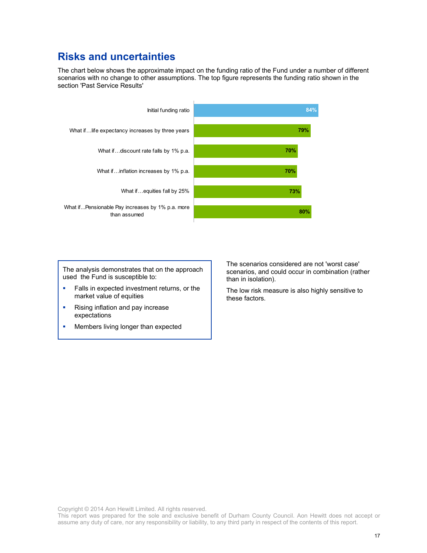### **Risks and uncertainties**

The chart below shows the approximate impact on the funding ratio of the Fund under a number of different scenarios with no change to other assumptions. The top figure represents the funding ratio shown in the section 'Past Service Results'



The analysis demonstrates that on the approach used the Fund is susceptible to:

- Falls in expected investment returns, or the market value of equities
- **Rising inflation and pay increase** expectations
- Members living longer than expected

The scenarios considered are not 'worst case' scenarios, and could occur in combination (rather than in isolation).

The low risk measure is also highly sensitive to these factors.

Copyright © 2014 Aon Hewitt Limited. All rights reserved.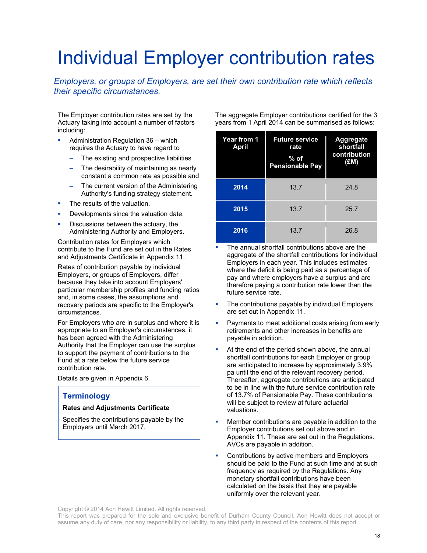# Individual Employer contribution rates

#### *Employers, or groups of Employers, are set their own contribution rate which reflects their specific circumstances.*

The Employer contribution rates are set by the Actuary taking into account a number of factors including:

- Administration Regulation 36 which requires the Actuary to have regard to
	- The existing and prospective liabilities
	- The desirability of maintaining as nearly constant a common rate as possible and
	- The current version of the Administering Authority's funding strategy statement.
- The results of the valuation.
- Developments since the valuation date.
- Discussions between the actuary, the Administering Authority and Employers.

Contribution rates for Employers which contribute to the Fund are set out in the Rates and Adjustments Certificate in Appendix 11.

Rates of contribution payable by individual Employers, or groups of Employers, differ because they take into account Employers' particular membership profiles and funding ratios and, in some cases, the assumptions and recovery periods are specific to the Employer's circumstances.

For Employers who are in surplus and where it is appropriate to an Employer's circumstances, it has been agreed with the Administering Authority that the Employer can use the surplus to support the payment of contributions to the Fund at a rate below the future service contribution rate.

Details are given in Appendix 6.

#### **Terminology**

#### **Rates and Adjustments Certificate**

Specifies the contributions payable by the Employers until March 2017.

The aggregate Employer contributions certified for the 3 years from 1 April 2014 can be summarised as follows:

| <b>Year from 1</b><br>April | <b>Future service</b><br>rate<br>$%$ of<br><b>Pensionable Pay</b> | <b>Aggregate</b><br>shortfall<br>contribution<br>(EM) |
|-----------------------------|-------------------------------------------------------------------|-------------------------------------------------------|
| 2014                        | 13.7                                                              | 24.8                                                  |
| 2015                        | 13.7                                                              | 25.7                                                  |
| 2016                        | 13.7                                                              | 26.8                                                  |

- The annual shortfall contributions above are the aggregate of the shortfall contributions for individual Employers in each year. This includes estimates where the deficit is being paid as a percentage of pay and where employers have a surplus and are therefore paying a contribution rate lower than the future service rate.
- The contributions payable by individual Employers are set out in Appendix 11.
- Payments to meet additional costs arising from early retirements and other increases in benefits are payable in addition.
- At the end of the period shown above, the annual shortfall contributions for each Employer or group are anticipated to increase by approximately 3.9% pa until the end of the relevant recovery period. Thereafter, aggregate contributions are anticipated to be in line with the future service contribution rate of 13.7% of Pensionable Pay. These contributions will be subject to review at future actuarial valuations.
- Member contributions are payable in addition to the Employer contributions set out above and in Appendix 11. These are set out in the Regulations. AVCs are payable in addition.
- Contributions by active members and Employers should be paid to the Fund at such time and at such frequency as required by the Regulations. Any monetary shortfall contributions have been calculated on the basis that they are payable uniformly over the relevant year.

Copyright © 2014 Aon Hewitt Limited. All rights reserved.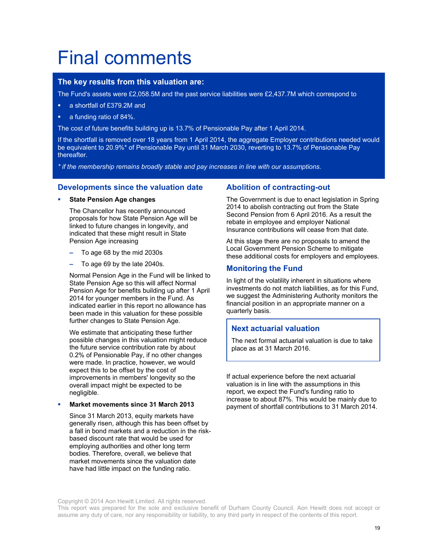# Final comments

#### **The key results from this valuation are:**

The Fund's assets were £2,058.5M and the past service liabilities were £2,437.7M which correspond to

- a shortfall of £379.2M and
- a funding ratio of 84%.

The cost of future benefits building up is 13.7% of Pensionable Pay after 1 April 2014.

If the shortfall is removed over 18 years from 1 April 2014, the aggregate Employer contributions needed would be equivalent to 20.9%\* of Pensionable Pay until 31 March 2030, reverting to 13.7% of Pensionable Pay thereafter.

*\* if the membership remains broadly stable and pay increases in line with our assumptions.*

#### **Developments since the valuation date**

**State Pension Age changes**

The Chancellor has recently announced proposals for how State Pension Age will be linked to future changes in longevity, and indicated that these might result in State Pension Age increasing

- To age 68 by the mid 2030s
- To age 69 by the late 2040s.

Normal Pension Age in the Fund will be linked to State Pension Age so this will affect Normal Pension Age for benefits building up after 1 April 2014 for younger members in the Fund. As indicated earlier in this report no allowance has been made in this valuation for these possible further changes to State Pension Age.

We estimate that anticipating these further possible changes in this valuation might reduce the future service contribution rate by about 0.2% of Pensionable Pay, if no other changes were made. In practice, however, we would expect this to be offset by the cost of improvements in members' longevity so the overall impact might be expected to be negligible.

#### **Market movements since 31 March 2013**

Since 31 March 2013, equity markets have generally risen, although this has been offset by a fall in bond markets and a reduction in the riskbased discount rate that would be used for employing authorities and other long term bodies. Therefore, overall, we believe that market movements since the valuation date have had little impact on the funding ratio.

#### **Abolition of contracting-out**

The Government is due to enact legislation in Spring 2014 to abolish contracting out from the State Second Pension from 6 April 2016. As a result the rebate in employee and employer National Insurance contributions will cease from that date.

At this stage there are no proposals to amend the Local Government Pension Scheme to mitigate these additional costs for employers and employees.

#### **Monitoring the Fund**

In light of the volatility inherent in situations where investments do not match liabilities, as for this Fund, we suggest the Administering Authority monitors the financial position in an appropriate manner on a quarterly basis.

#### **Next actuarial valuation**

The next formal actuarial valuation is due to take place as at 31 March 2016.

If actual experience before the next actuarial valuation is in line with the assumptions in this report, we expect the Fund's funding ratio to increase to about 87%. This would be mainly due to payment of shortfall contributions to 31 March 2014.

This report was prepared for the sole and exclusive benefit of Durham County Council. Aon Hewitt does not accept or assume any duty of care, nor any responsibility or liability, to any third party in respect of the contents of this report.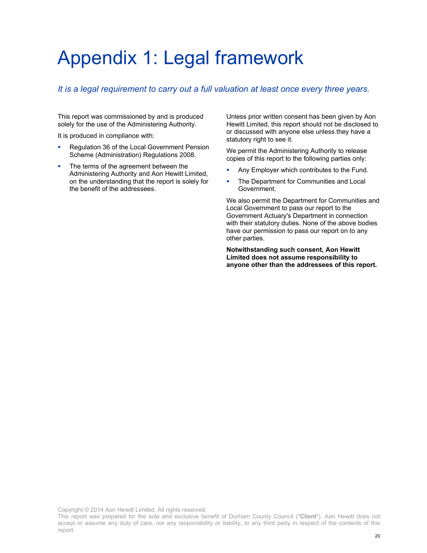## Appendix 1: Legal framework

#### *It is a legal requirement to carry out a full valuation at least once every three years.*

This report was commissioned by and is produced solely for the use of the Administering Authority.

It is produced in compliance with:

- **Requilation 36 of the Local Government Pension** Scheme (Administration) Regulations 2008.
- The terms of the agreement between the Administering Authority and Aon Hewitt Limited, on the understanding that the report is solely for the benefit of the addressees.

Unless prior written consent has been given by Aon Hewitt Limited, this report should not be disclosed to or discussed with anyone else unless they have a statutory right to see it.

We permit the Administering Authority to release copies of this report to the following parties only:

- Any Employer which contributes to the Fund.
- **The Department for Communities and Local** Government.

We also permit the Department for Communities and Local Government to pass our report to the Government Actuary's Department in connection with their statutory duties. None of the above bodies have our permission to pass our report on to any other parties.

**Notwithstanding such consent, Aon Hewitt Limited does not assume responsibility to anyone other than the addressees of this report.** 

This report was prepared for the sole and exclusive benefit of Durham County Council ("**Client**"). Aon Hewitt does not accept or assume any duty of care, nor any responsibility or liability, to any third party in respect of the contents of this report.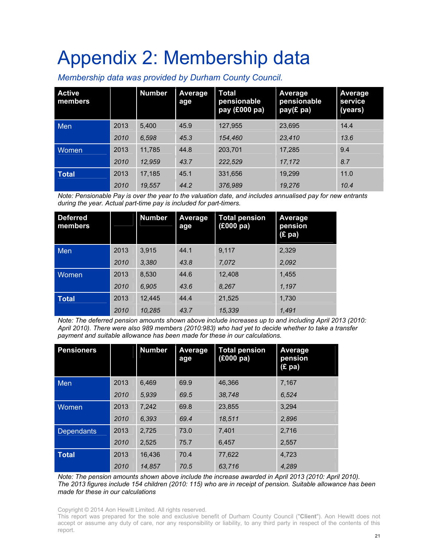# Appendix 2: Membership data

*Membership data was provided by Durham County Council.* 

| <b>Active</b><br>members |      | <b>Number</b> | Average<br>age | <b>Total</b><br>pensionable<br>pay (£000 pa) | Average<br>pensionable<br>pay(£ pa) | <b>Average</b><br>service<br>(years) |
|--------------------------|------|---------------|----------------|----------------------------------------------|-------------------------------------|--------------------------------------|
| Men                      | 2013 | 5,400         | 45.9           | 127,955                                      | 23,695                              | 14.4                                 |
|                          | 2010 | 6,598         | 45.3           | 154,460                                      | 23,410                              | 13.6                                 |
| <b>Women</b>             | 2013 | 11,785        | 44.8           | 203,701                                      | 17,285                              | 9.4                                  |
|                          | 2010 | 12,959        | 43.7           | 222,529                                      | 17,172                              | 8.7                                  |
| <b>Total</b>             | 2013 | 17,185        | 45.1           | 331,656                                      | 19,299                              | 11.0                                 |
|                          | 2010 | 19,557        | 44.2           | 376,989                                      | 19,276                              | 10.4                                 |

*Note: Pensionable Pay is over the year to the valuation date, and includes annualised pay for new entrants during the year. Actual part-time pay is included for part-timers.* 

| <b>Deferred</b><br>members |      | <b>Number</b> | Average<br>age | <b>Total pension</b><br>$(£000 p\overline{a})$ | Average<br>pension<br>(E pa) |
|----------------------------|------|---------------|----------------|------------------------------------------------|------------------------------|
| Men                        | 2013 | 3,915         | 44.1           | 9,117                                          | 2,329                        |
|                            | 2010 | 3,380         | 43.8           | 7,072                                          | 2,092                        |
| <b>Women</b>               | 2013 | 8.530         | 44.6           | 12,408                                         | 1.455                        |
|                            | 2010 | 6,905         | 43.6           | 8,267                                          | 1,197                        |
| <b>Total</b>               | 2013 | 12.445        | 44.4           | 21,525                                         | 1,730                        |
|                            | 2010 | 10.285        | 43.7           | 15,339                                         | 1,491                        |

*Note: The deferred pension amounts shown above include increases up to and including April 2013 (2010: April 2010). There were also 989 members (2010:983) who had yet to decide whether to take a transfer payment and suitable allowance has been made for these in our calculations.* 

| <b>Pensioners</b> |      | <b>Number</b> | Average<br>age | <b>Total pension</b><br>(£000 pa) | Average<br>pension<br>$(E$ pa) |
|-------------------|------|---------------|----------------|-----------------------------------|--------------------------------|
| Men               | 2013 | 6,469         | 69.9           | 46,366                            | 7,167                          |
|                   | 2010 | 5.939         | 69.5           | 38.748                            | 6.524                          |
| Women             | 2013 | 7,242         | 69.8           | 23,855                            | 3,294                          |
|                   | 2010 | 6,393         | 69.4           | 18,511                            | 2,896                          |
| <b>Dependants</b> | 2013 | 2,725         | 73.0           | 7.401                             | 2.716                          |
|                   | 2010 | 2.525         | 75.7           | 6.457                             | 2,557                          |
| <b>Total</b>      | 2013 | 16.436        | 70.4           | 77.622                            | 4.723                          |
|                   | 2010 | 14,857        | 70.5           | 63.716                            | 4.289                          |

*Note: The pension amounts shown above include the increase awarded in April 2013 (2010: April 2010). The 2013 figures include 154 children (2010: 115) who are in receipt of pension. Suitable allowance has been made for these in our calculations* 

Copyright © 2014 Aon Hewitt Limited. All rights reserved.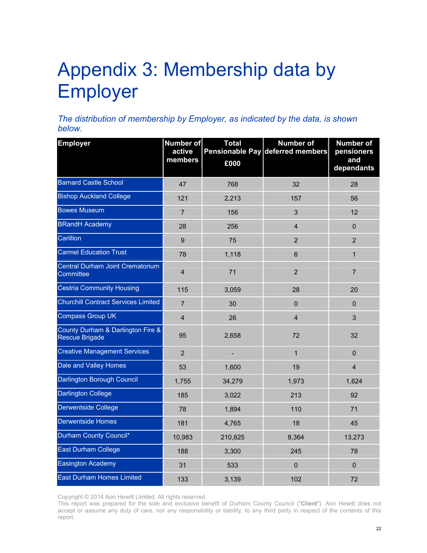# Appendix 3: Membership data by Employer

*The distribution of membership by Employer, as indicated by the data, is shown below.* 

| <b>Employer</b>                                            | Number of<br>active<br>members | <b>Total</b><br>£000 | <b>Number of</b><br>Pensionable Pay deferred members | <b>Number of</b><br>pensioners<br>and<br>dependants |
|------------------------------------------------------------|--------------------------------|----------------------|------------------------------------------------------|-----------------------------------------------------|
| <b>Barnard Castle School</b>                               | 47                             | 768                  | 32                                                   | 28                                                  |
| <b>Bishop Auckland College</b>                             | 121                            | 2,213                | 157                                                  | 56                                                  |
| <b>Bowes Museum</b>                                        | $\overline{7}$                 | 156                  | 3                                                    | 12                                                  |
| <b>BRandH</b> Academy                                      | 28                             | 256                  | $\overline{\mathbf{4}}$                              | $\mathbf 0$                                         |
| Carillion                                                  | $\boldsymbol{9}$               | 75                   | $\overline{2}$                                       | $\overline{2}$                                      |
| <b>Carmel Education Trust</b>                              | 78                             | 1,118                | $6\phantom{1}$                                       | $\mathbf{1}$                                        |
| Central Durham Joint Crematorium<br>Committee              | $\overline{4}$                 | 71                   | 2                                                    | $\overline{7}$                                      |
| <b>Cestria Community Housing</b>                           | 115                            | 3,059                | 28                                                   | 20                                                  |
| <b>Churchill Contract Services Limited</b>                 | $\overline{7}$                 | 30                   | $\mathbf 0$                                          | $\mathbf 0$                                         |
| <b>Compass Group UK</b>                                    | $\overline{\mathbf{4}}$        | 26                   | $\overline{4}$                                       | 3                                                   |
| County Durham & Darlington Fire &<br><b>Rescue Brigade</b> | 95                             | 2,658                | 72                                                   | 32                                                  |
| <b>Creative Management Services</b>                        | $\overline{2}$                 |                      | $\mathbf{1}$                                         | $\mathbf 0$                                         |
| Dale and Valley Homes                                      | 53                             | 1,600                | 19                                                   | $\overline{4}$                                      |
| Darlington Borough Council                                 | 1,755                          | 34,279               | 1,973                                                | 1,624                                               |
| <b>Darlington College</b>                                  | 185                            | 3,022                | 213                                                  | 92                                                  |
| Derwentside College                                        | 78                             | 1,894                | 110                                                  | 71                                                  |
| <b>Derwentside Homes</b>                                   | 181                            | 4,765                | 18                                                   | 45                                                  |
| Durham County Council*                                     | 10,983                         | 210,825              | 8,364                                                | 13,273                                              |
| <b>East Durham College</b>                                 | 188                            | 3,300                | 245                                                  | 78                                                  |
| Easington Academy                                          | 31                             | 533                  | $\bf 0$                                              | $\mathbf{0}$                                        |
| <b>East Durham Homes Limited</b>                           | 133                            | 3,139                | 102                                                  | 72                                                  |

Copyright © 2014 Aon Hewitt Limited. All rights reserved.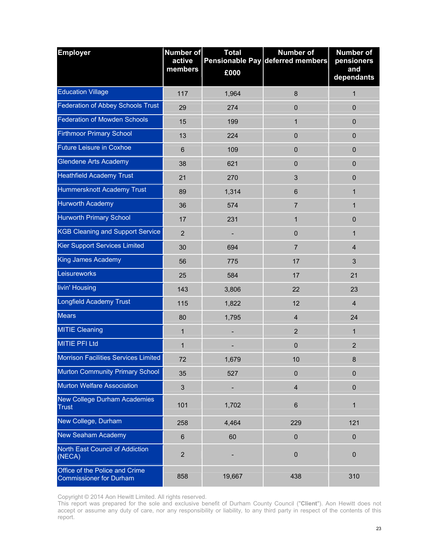| <b>Employer</b>                                                  | <b>Number of</b><br>active<br>members | <b>Total</b><br>£000 | <b>Number of</b><br>Pensionable Pay deferred members | <b>Number of</b><br>pensioners<br>and<br>dependants |
|------------------------------------------------------------------|---------------------------------------|----------------------|------------------------------------------------------|-----------------------------------------------------|
| <b>Education Village</b>                                         | 117                                   | 1,964                | 8                                                    | 1                                                   |
| <b>Federation of Abbey Schools Trust</b>                         | 29                                    | 274                  | $\mathbf 0$                                          | $\mathbf 0$                                         |
| <b>Federation of Mowden Schools</b>                              | 15                                    | 199                  | $\mathbf{1}$                                         | $\pmb{0}$                                           |
| <b>Firthmoor Primary School</b>                                  | 13                                    | 224                  | $\mathbf 0$                                          | $\mathbf 0$                                         |
| <b>Future Leisure in Coxhoe</b>                                  | $\,6$                                 | 109                  | $\mathbf 0$                                          | $\mathbf 0$                                         |
| <b>Glendene Arts Academy</b>                                     | 38                                    | 621                  | $\mathbf 0$                                          | $\pmb{0}$                                           |
| <b>Heathfield Academy Trust</b>                                  | 21                                    | 270                  | 3                                                    | 0                                                   |
| Hummersknott Academy Trust                                       | 89                                    | 1,314                | $6\phantom{1}$                                       | 1                                                   |
| <b>Hurworth Academy</b>                                          | 36                                    | 574                  | $\overline{7}$                                       | 1                                                   |
| <b>Hurworth Primary School</b>                                   | 17                                    | 231                  | $\mathbf 1$                                          | $\pmb{0}$                                           |
| <b>KGB Cleaning and Support Service</b>                          | $\overline{2}$                        |                      | $\mathbf 0$                                          | $\mathbf{1}$                                        |
| Kier Support Services Limited                                    | 30                                    | 694                  | $\overline{7}$                                       | $\overline{4}$                                      |
| <b>King James Academy</b>                                        | 56                                    | 775                  | 17                                                   | 3                                                   |
| Leisureworks                                                     | 25                                    | 584                  | 17                                                   | 21                                                  |
| livin' Housing                                                   | 143                                   | 3,806                | 22                                                   | 23                                                  |
| <b>Longfield Academy Trust</b>                                   | 115                                   | 1,822                | 12                                                   | $\overline{\mathbf{4}}$                             |
| <b>Mears</b>                                                     | 80                                    | 1,795                | $\overline{4}$                                       | 24                                                  |
| <b>MITIE Cleaning</b>                                            | $\mathbf{1}$                          |                      | $\overline{2}$                                       | $\mathbf{1}$                                        |
| <b>MITIE PFI Ltd</b>                                             | 1                                     |                      | $\pmb{0}$                                            | $\overline{2}$                                      |
| Morrison Facilities Services Limited                             | 72                                    | 1,679                | 10                                                   | 8                                                   |
| Murton Community Primary School                                  | 35                                    | 527                  | $\mathbf 0$                                          | $\mathbf 0$                                         |
| Murton Welfare Association                                       | $\mathbf{3}$                          |                      | $\overline{4}$                                       | $\pmb{0}$                                           |
| New College Durham Academies<br><b>Trust</b>                     | 101                                   | 1,702                | $6\phantom{1}$                                       | 1                                                   |
| New College, Durham                                              | 258                                   | 4,464                | 229                                                  | 121                                                 |
| <b>New Seaham Academy</b>                                        | $\,6$                                 | 60                   | $\pmb{0}$                                            | $\pmb{0}$                                           |
| North East Council of Addiction<br>(NECA)                        | $\overline{2}$                        |                      | $\pmb{0}$                                            | $\pmb{0}$                                           |
| Office of the Police and Crime<br><b>Commissioner for Durham</b> | 858                                   | 19,667               | 438                                                  | 310                                                 |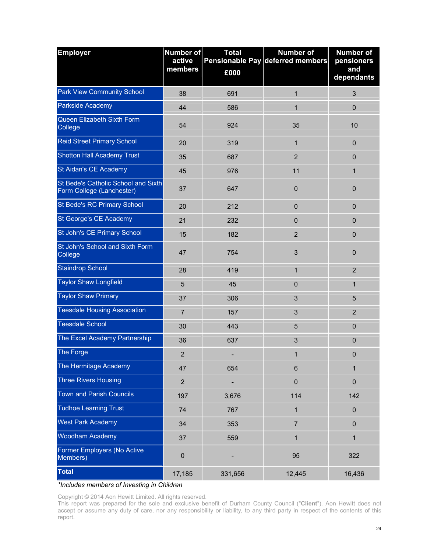| <b>Employer</b>                                                  | Number of<br>active<br>members | <b>Total</b><br>£000 | <b>Number of</b><br>Pensionable Pay deferred members | <b>Number of</b><br>pensioners<br>and<br>dependants |
|------------------------------------------------------------------|--------------------------------|----------------------|------------------------------------------------------|-----------------------------------------------------|
| <b>Park View Community School</b>                                | 38                             | 691                  | $\mathbf{1}$                                         | 3                                                   |
| Parkside Academy                                                 | 44                             | 586                  | $\mathbf{1}$                                         | $\mathbf 0$                                         |
| Queen Elizabeth Sixth Form<br>College                            | 54                             | 924                  | 35                                                   | 10                                                  |
| <b>Reid Street Primary School</b>                                | 20                             | 319                  | $\mathbf{1}$                                         | $\mathbf 0$                                         |
| Shotton Hall Academy Trust                                       | 35                             | 687                  | $\overline{2}$                                       | $\mathbf 0$                                         |
| St Aidan's CE Academy                                            | 45                             | 976                  | 11                                                   | $\mathbf{1}$                                        |
| St Bede's Catholic School and Sixth<br>Form College (Lanchester) | 37                             | 647                  | $\mathbf 0$                                          | $\overline{0}$                                      |
| St Bede's RC Primary School                                      | 20                             | 212                  | $\mathbf 0$                                          | $\mathbf 0$                                         |
| St George's CE Academy                                           | 21                             | 232                  | $\mathbf 0$                                          | $\mathbf 0$                                         |
| St John's CE Primary School                                      | 15                             | 182                  | $\overline{2}$                                       | $\mathbf 0$                                         |
| St John's School and Sixth Form<br>College                       | 47                             | 754                  | 3                                                    | $\mathbf 0$                                         |
| <b>Staindrop School</b>                                          | 28                             | 419                  | $\mathbf{1}$                                         | $\overline{2}$                                      |
| <b>Taylor Shaw Longfield</b>                                     | 5                              | 45                   | $\mathbf 0$                                          | $\mathbf{1}$                                        |
| <b>Taylor Shaw Primary</b>                                       | 37                             | 306                  | $\mathfrak{S}$                                       | 5                                                   |
| <b>Teesdale Housing Association</b>                              | $\overline{7}$                 | 157                  | 3                                                    | $\overline{2}$                                      |
| <b>Teesdale School</b>                                           | 30                             | 443                  | 5                                                    | $\mathbf 0$                                         |
| The Excel Academy Partnership                                    | 36                             | 637                  | 3                                                    | $\mathbf 0$                                         |
| The Forge                                                        | $\overline{2}$                 |                      | 1                                                    | $\overline{0}$                                      |
| The Hermitage Academy                                            | 47                             | 654                  | $\,6\,$                                              | $\mathbf{1}$                                        |
| <b>Three Rivers Housing</b>                                      | $\overline{2}$                 |                      | $\mathbf 0$                                          | $\mathbf 0$                                         |
| <b>Town and Parish Councils</b>                                  | 197                            | 3,676                | 114                                                  | 142                                                 |
| <b>Tudhoe Learning Trust</b>                                     | 74                             | 767                  | $\mathbf{1}$                                         | $\pmb{0}$                                           |
| <b>West Park Academy</b>                                         | 34                             | 353                  | $\overline{7}$                                       | $\mathbf 0$                                         |
| <b>Woodham Academy</b>                                           | 37                             | 559                  | $\mathbf{1}$                                         | $\mathbf{1}$                                        |
| Former Employers (No Active<br>Members)                          | $\pmb{0}$                      |                      | 95                                                   | 322                                                 |
| Total                                                            | 17,185                         | 331,656              | 12,445                                               | 16,436                                              |

*\*Includes members of Investing in Children* 

Copyright © 2014 Aon Hewitt Limited. All rights reserved.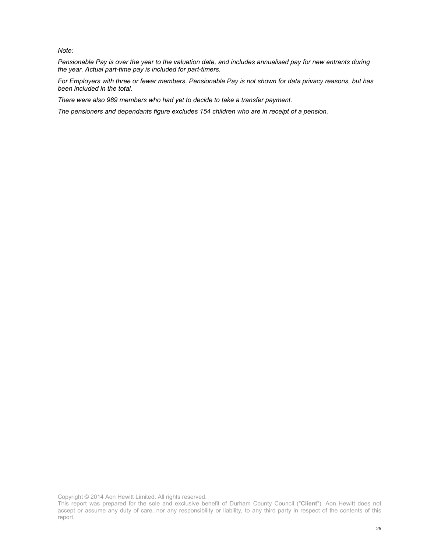*Note:* 

*Pensionable Pay is over the year to the valuation date, and includes annualised pay for new entrants during the year. Actual part-time pay is included for part-timers.* 

*For Employers with three or fewer members, Pensionable Pay is not shown for data privacy reasons, but has been included in the total.* 

*There were also 989 members who had yet to decide to take a transfer payment.* 

*The pensioners and dependants figure excludes 154 children who are in receipt of a pension.* 

This report was prepared for the sole and exclusive benefit of Durham County Council ("**Client**"). Aon Hewitt does not accept or assume any duty of care, nor any responsibility or liability, to any third party in respect of the contents of this report.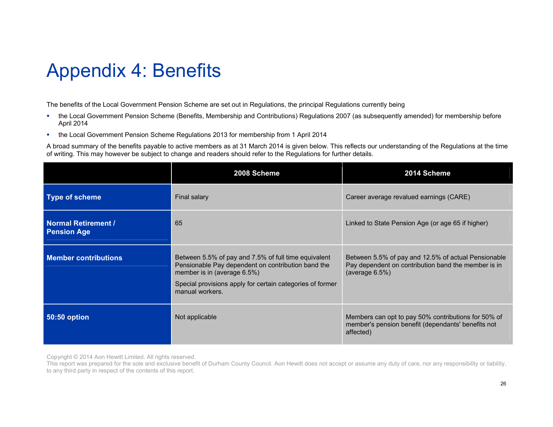## Appendix 4: Benefits

The benefits of the Local Government Pension Scheme are set out in Regulations, the principal Regulations currently being

- the Local Government Pension Scheme (Benefits, Membership and Contributions) Regulations 2007 (as subsequently amended) for membership before April 2014
- **the Local Government Pension Scheme Regulations 2013 for membership from 1 April 2014**

A broad summary of the benefits payable to active members as at 31 March 2014 is given below. This reflects our understanding of the Regulations at the time of writing. This may however be subject to change and readers should refer to the Regulations for further details.

|                                                  | 2008 Scheme                                                                                                                                                                                                               | 2014 Scheme                                                                                                                      |
|--------------------------------------------------|---------------------------------------------------------------------------------------------------------------------------------------------------------------------------------------------------------------------------|----------------------------------------------------------------------------------------------------------------------------------|
| <b>Type of scheme</b>                            | Final salary                                                                                                                                                                                                              | Career average revalued earnings (CARE)                                                                                          |
| <b>Normal Retirement /</b><br><b>Pension Age</b> | 65                                                                                                                                                                                                                        | Linked to State Pension Age (or age 65 if higher)                                                                                |
| <b>Member contributions</b>                      | Between 5.5% of pay and 7.5% of full time equivalent<br>Pensionable Pay dependent on contribution band the<br>member is in (average 6.5%)<br>Special provisions apply for certain categories of former<br>manual workers. | Between 5.5% of pay and 12.5% of actual Pensionable<br>Pay dependent on contribution band the member is in<br>(average $6.5\%$ ) |
| <b>50:50 option</b>                              | Not applicable                                                                                                                                                                                                            | Members can opt to pay 50% contributions for 50% of<br>member's pension benefit (dependants' benefits not<br>affected)           |

Copyright © 2014 Aon Hewitt Limited. All rights reserved.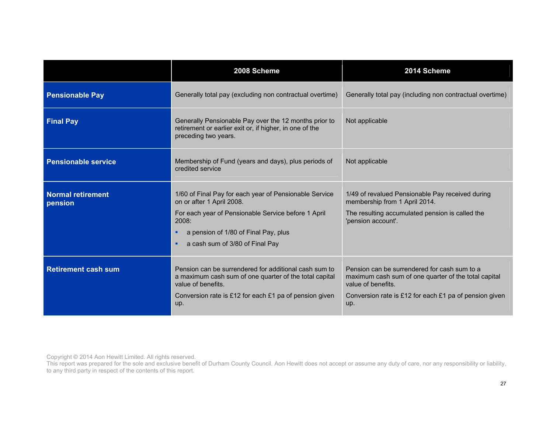|                                     | 2008 Scheme                                                                                                                                                                                                                              | 2014 Scheme                                                                                                                                                                                 |
|-------------------------------------|------------------------------------------------------------------------------------------------------------------------------------------------------------------------------------------------------------------------------------------|---------------------------------------------------------------------------------------------------------------------------------------------------------------------------------------------|
| <b>Pensionable Pay</b>              | Generally total pay (excluding non contractual overtime)                                                                                                                                                                                 | Generally total pay (including non contractual overtime)                                                                                                                                    |
| <b>Final Pay</b>                    | Generally Pensionable Pay over the 12 months prior to<br>retirement or earlier exit or, if higher, in one of the<br>preceding two years.                                                                                                 | Not applicable                                                                                                                                                                              |
| <b>Pensionable service</b>          | Membership of Fund (years and days), plus periods of<br>credited service                                                                                                                                                                 | Not applicable                                                                                                                                                                              |
| <b>Normal retirement</b><br>pension | 1/60 of Final Pay for each year of Pensionable Service<br>on or after 1 April 2008.<br>For each year of Pensionable Service before 1 April<br>2008:<br>a pension of 1/80 of Final Pay, plus<br>٠<br>a cash sum of 3/80 of Final Pay<br>٠ | 1/49 of revalued Pensionable Pay received during<br>membership from 1 April 2014.<br>The resulting accumulated pension is called the<br>'pension account'.                                  |
| <b>Retirement cash sum</b>          | Pension can be surrendered for additional cash sum to<br>a maximum cash sum of one quarter of the total capital<br>value of benefits.<br>Conversion rate is £12 for each £1 pa of pension given<br>up.                                   | Pension can be surrendered for cash sum to a<br>maximum cash sum of one quarter of the total capital<br>value of benefits.<br>Conversion rate is £12 for each £1 pa of pension given<br>up. |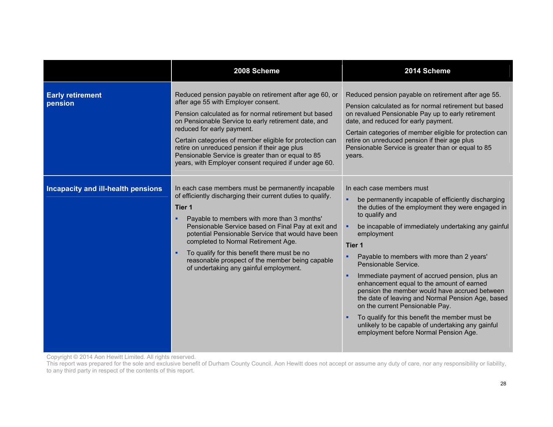|                                    | 2008 Scheme                                                                                                                                                                                                                                                                                                                                                                                                                                                                     | 2014 Scheme                                                                                                                                                                                                                                                                                                                                                                                                                                                                                                                                                                                                                                                                                                        |
|------------------------------------|---------------------------------------------------------------------------------------------------------------------------------------------------------------------------------------------------------------------------------------------------------------------------------------------------------------------------------------------------------------------------------------------------------------------------------------------------------------------------------|--------------------------------------------------------------------------------------------------------------------------------------------------------------------------------------------------------------------------------------------------------------------------------------------------------------------------------------------------------------------------------------------------------------------------------------------------------------------------------------------------------------------------------------------------------------------------------------------------------------------------------------------------------------------------------------------------------------------|
| <b>Early retirement</b><br>pension | Reduced pension payable on retirement after age 60, or<br>after age 55 with Employer consent.<br>Pension calculated as for normal retirement but based<br>on Pensionable Service to early retirement date, and<br>reduced for early payment.<br>Certain categories of member eligible for protection can<br>retire on unreduced pension if their age plus<br>Pensionable Service is greater than or equal to 85<br>years, with Employer consent required if under age 60.       | Reduced pension payable on retirement after age 55.<br>Pension calculated as for normal retirement but based<br>on revalued Pensionable Pay up to early retirement<br>date, and reduced for early payment.<br>Certain categories of member eligible for protection can<br>retire on unreduced pension if their age plus<br>Pensionable Service is greater than or equal to 85<br>years.                                                                                                                                                                                                                                                                                                                            |
| Incapacity and ill-health pensions | In each case members must be permanently incapable<br>of efficiently discharging their current duties to qualify.<br>Tier 1<br>Payable to members with more than 3 months'<br>Pensionable Service based on Final Pay at exit and<br>potential Pensionable Service that would have been<br>completed to Normal Retirement Age.<br>To qualify for this benefit there must be no<br>٠<br>reasonable prospect of the member being capable<br>of undertaking any gainful employment. | In each case members must<br>be permanently incapable of efficiently discharging<br>٠<br>the duties of the employment they were engaged in<br>to qualify and<br>be incapable of immediately undertaking any gainful<br>٠<br>employment<br>Tier 1<br>Payable to members with more than 2 years'<br>Pensionable Service.<br>Immediate payment of accrued pension, plus an<br>٠<br>enhancement equal to the amount of earned<br>pension the member would have accrued between<br>the date of leaving and Normal Pension Age, based<br>on the current Pensionable Pay.<br>To qualify for this benefit the member must be<br>unlikely to be capable of undertaking any gainful<br>employment before Normal Pension Age. |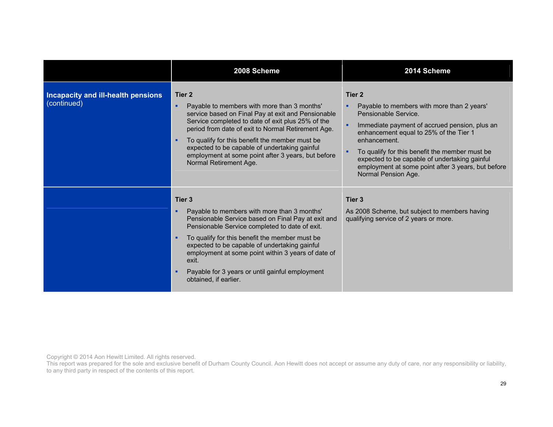|                                                          | 2008 Scheme                                                                                                                                                                                                                                                                                                                                                                                                    | 2014 Scheme                                                                                                                                                                                                                                                                                                                                                                                  |
|----------------------------------------------------------|----------------------------------------------------------------------------------------------------------------------------------------------------------------------------------------------------------------------------------------------------------------------------------------------------------------------------------------------------------------------------------------------------------------|----------------------------------------------------------------------------------------------------------------------------------------------------------------------------------------------------------------------------------------------------------------------------------------------------------------------------------------------------------------------------------------------|
| <b>Incapacity and ill-health pensions</b><br>(continued) | Tier 2<br>Payable to members with more than 3 months'<br>٠<br>service based on Final Pay at exit and Pensionable<br>Service completed to date of exit plus 25% of the<br>period from date of exit to Normal Retirement Age.<br>To qualify for this benefit the member must be<br>expected to be capable of undertaking gainful<br>employment at some point after 3 years, but before<br>Normal Retirement Age. | Tier <sub>2</sub><br>Payable to members with more than 2 years'<br>٠<br>Pensionable Service.<br>п<br>Immediate payment of accrued pension, plus an<br>enhancement equal to 25% of the Tier 1<br>enhancement.<br>To qualify for this benefit the member must be<br>expected to be capable of undertaking gainful<br>employment at some point after 3 years, but before<br>Normal Pension Age. |
|                                                          | Tier 3<br>Payable to members with more than 3 months'<br>Pensionable Service based on Final Pay at exit and<br>Pensionable Service completed to date of exit.<br>To qualify for this benefit the member must be<br>expected to be capable of undertaking gainful<br>employment at some point within 3 years of date of<br>exit.<br>Payable for 3 years or until gainful employment<br>obtained, if earlier.    | Tier <sub>3</sub><br>As 2008 Scheme, but subject to members having<br>qualifying service of 2 years or more.                                                                                                                                                                                                                                                                                 |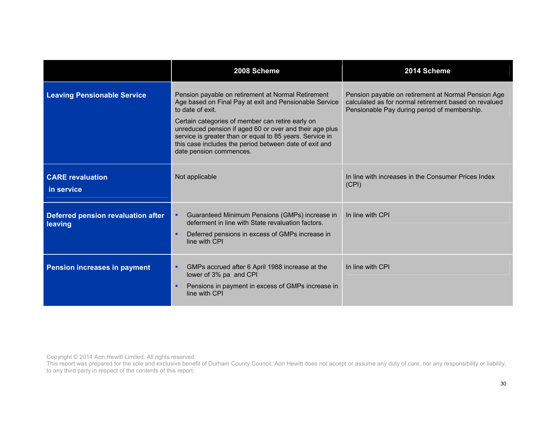|                                               | 2008 Scheme                                                                                                                                                                                                                                                                                                                                                                                      | 2014 Scheme                                                                                                                                                  |
|-----------------------------------------------|--------------------------------------------------------------------------------------------------------------------------------------------------------------------------------------------------------------------------------------------------------------------------------------------------------------------------------------------------------------------------------------------------|--------------------------------------------------------------------------------------------------------------------------------------------------------------|
| <b>Leaving Pensionable Service</b>            | Pension payable on retirement at Normal Retirement<br>Age based on Final Pay at exit and Pensionable Service<br>to date of exit.<br>Certain categories of member can retire early on<br>unreduced pension if aged 60 or over and their age plus<br>service is greater than or equal to 85 years. Service in<br>this case includes the period between date of exit and<br>date pension commences. | Pension payable on retirement at Normal Pension Age<br>calculated as for normal retirement based on revalued<br>Pensionable Pay during period of membership. |
| <b>CARE</b> revaluation<br>in service         | Not applicable                                                                                                                                                                                                                                                                                                                                                                                   | In line with increases in the Consumer Prices Index<br>(CPI)                                                                                                 |
| Deferred pension revaluation after<br>leaving | Guaranteed Minimum Pensions (GMPs) increase in<br>deferment in line with State revaluation factors.<br>Deferred pensions in excess of GMPs increase in<br>line with CPI                                                                                                                                                                                                                          | In line with CPI                                                                                                                                             |
| <b>Pension increases in payment</b>           | GMPs accrued after 6 April 1988 increase at the<br>lower of 3% pa and CPI<br>Pensions in payment in excess of GMPs increase in<br>line with CPI                                                                                                                                                                                                                                                  | In line with CPI                                                                                                                                             |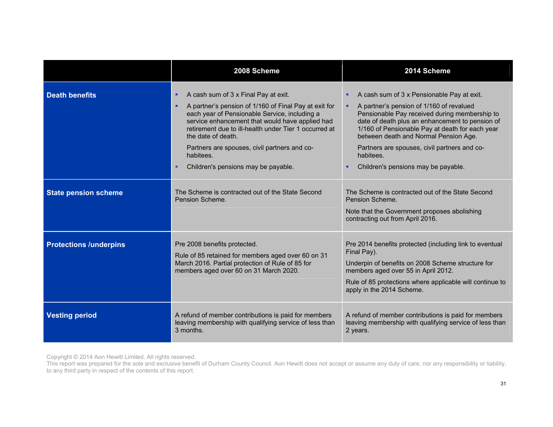|                               | 2008 Scheme                                                                                                                                                                                                                                                                                                                                                                                    | 2014 Scheme                                                                                                                                                                                                                                                                                                                                                                                          |
|-------------------------------|------------------------------------------------------------------------------------------------------------------------------------------------------------------------------------------------------------------------------------------------------------------------------------------------------------------------------------------------------------------------------------------------|------------------------------------------------------------------------------------------------------------------------------------------------------------------------------------------------------------------------------------------------------------------------------------------------------------------------------------------------------------------------------------------------------|
| <b>Death benefits</b>         | A cash sum of 3 x Final Pay at exit.<br>٠<br>A partner's pension of 1/160 of Final Pay at exit for<br>٠<br>each year of Pensionable Service, including a<br>service enhancement that would have applied had<br>retirement due to ill-health under Tier 1 occurred at<br>the date of death.<br>Partners are spouses, civil partners and co-<br>habitees.<br>Children's pensions may be payable. | A cash sum of 3 x Pensionable Pay at exit.<br>٠<br>A partner's pension of 1/160 of revalued<br>٠<br>Pensionable Pay received during membership to<br>date of death plus an enhancement to pension of<br>1/160 of Pensionable Pay at death for each year<br>between death and Normal Pension Age.<br>Partners are spouses, civil partners and co-<br>habitees.<br>Children's pensions may be payable. |
| <b>State pension scheme</b>   | The Scheme is contracted out of the State Second<br>Pension Scheme.                                                                                                                                                                                                                                                                                                                            | The Scheme is contracted out of the State Second<br>Pension Scheme.<br>Note that the Government proposes abolishing<br>contracting out from April 2016.                                                                                                                                                                                                                                              |
| <b>Protections /underpins</b> | Pre 2008 benefits protected.<br>Rule of 85 retained for members aged over 60 on 31<br>March 2016. Partial protection of Rule of 85 for<br>members aged over 60 on 31 March 2020.                                                                                                                                                                                                               | Pre 2014 benefits protected (including link to eventual<br>Final Pay).<br>Underpin of benefits on 2008 Scheme structure for<br>members aged over 55 in April 2012.<br>Rule of 85 protections where applicable will continue to<br>apply in the 2014 Scheme.                                                                                                                                          |
| <b>Vesting period</b>         | A refund of member contributions is paid for members<br>leaving membership with qualifying service of less than<br>3 months.                                                                                                                                                                                                                                                                   | A refund of member contributions is paid for members<br>leaving membership with qualifying service of less than<br>2 years.                                                                                                                                                                                                                                                                          |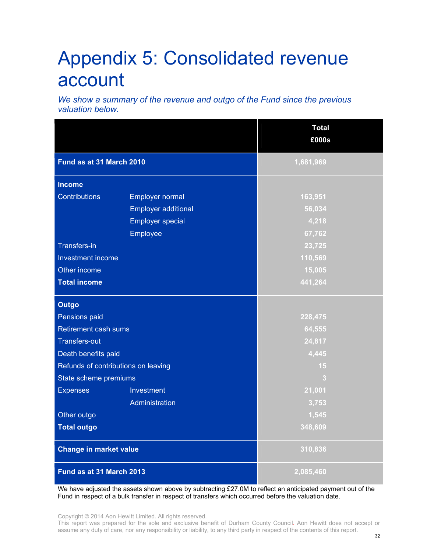### Appendix 5: Consolidated revenue account

*We show a summary of the revenue and outgo of the Fund since the previous valuation below.* 

|                                     |                            | <b>Total</b><br>£000s |  |
|-------------------------------------|----------------------------|-----------------------|--|
| Fund as at 31 March 2010            |                            | 1,681,969             |  |
| <b>Income</b>                       |                            |                       |  |
| <b>Contributions</b>                | Employer normal            | 163,951               |  |
|                                     | <b>Employer additional</b> | 56,034                |  |
|                                     | <b>Employer special</b>    | 4,218                 |  |
|                                     | Employee                   | 67,762                |  |
| <b>Transfers-in</b>                 |                            | 23,725                |  |
| Investment income                   |                            | 110,569               |  |
| Other income                        |                            | 15,005                |  |
| <b>Total income</b>                 |                            | 441,264               |  |
| <b>Outgo</b>                        |                            |                       |  |
| Pensions paid                       |                            | 228,475               |  |
| <b>Retirement cash sums</b>         |                            | 64,555                |  |
| <b>Transfers-out</b>                |                            | 24,817                |  |
| Death benefits paid                 |                            | 4,445                 |  |
| Refunds of contributions on leaving |                            | 15                    |  |
| State scheme premiums               |                            | $\mathbf{3}$          |  |
| <b>Expenses</b>                     | Investment                 | 21,001                |  |
|                                     | Administration             | 3,753                 |  |
| Other outgo                         |                            | 1,545                 |  |
| <b>Total outgo</b>                  |                            | 348,609               |  |
| <b>Change in market value</b>       |                            | 310,836               |  |
| Fund as at 31 March 2013            |                            | 2,085,460             |  |

We have adjusted the assets shown above by subtracting £27.0M to reflect an anticipated payment out of the Fund in respect of a bulk transfer in respect of transfers which occurred before the valuation date.

Copyright © 2014 Aon Hewitt Limited. All rights reserved.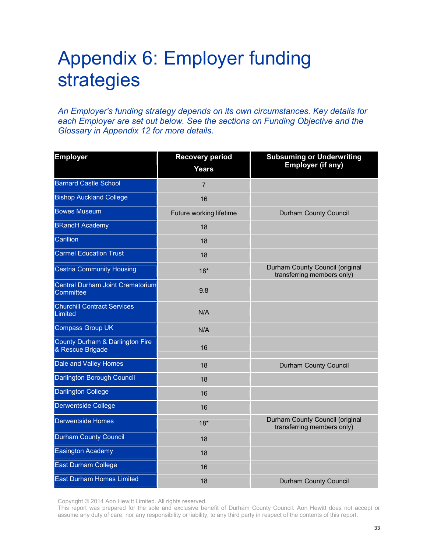### Appendix 6: Employer funding strategies

*An Employer's funding strategy depends on its own circumstances. Key details for each Employer are set out below. See the sections on Funding Objective and the Glossary in Appendix 12 for more details.* 

| <b>Employer</b>                                     | <b>Recovery period</b><br><b>Years</b> | <b>Subsuming or Underwriting</b><br><b>Employer (if any)</b>  |
|-----------------------------------------------------|----------------------------------------|---------------------------------------------------------------|
| <b>Barnard Castle School</b>                        | $\overline{7}$                         |                                                               |
| <b>Bishop Auckland College</b>                      | 16                                     |                                                               |
| <b>Bowes Museum</b>                                 | Future working lifetime                | <b>Durham County Council</b>                                  |
| <b>BRandH Academy</b>                               | 18                                     |                                                               |
| Carillion                                           | 18                                     |                                                               |
| <b>Carmel Education Trust</b>                       | 18                                     |                                                               |
| <b>Cestria Community Housing</b>                    | $18*$                                  | Durham County Council (original<br>transferring members only) |
| Central Durham Joint Crematorium<br>Committee       | 9.8                                    |                                                               |
| <b>Churchill Contract Services</b><br>Limited       | N/A                                    |                                                               |
| <b>Compass Group UK</b>                             | N/A                                    |                                                               |
| County Durham & Darlington Fire<br>& Rescue Brigade | 16                                     |                                                               |
| Dale and Valley Homes                               | 18                                     | Durham County Council                                         |
| Darlington Borough Council                          | 18                                     |                                                               |
| <b>Darlington College</b>                           | 16                                     |                                                               |
| <b>Derwentside College</b>                          | 16                                     |                                                               |
| <b>Derwentside Homes</b>                            | $18*$                                  | Durham County Council (original<br>transferring members only) |
| <b>Durham County Council</b>                        | 18                                     |                                                               |
| <b>Easington Academy</b>                            | 18                                     |                                                               |
| East Durham College                                 | 16                                     |                                                               |
| <b>East Durham Homes Limited</b>                    | 18                                     | Durham County Council                                         |

Copyright © 2014 Aon Hewitt Limited. All rights reserved.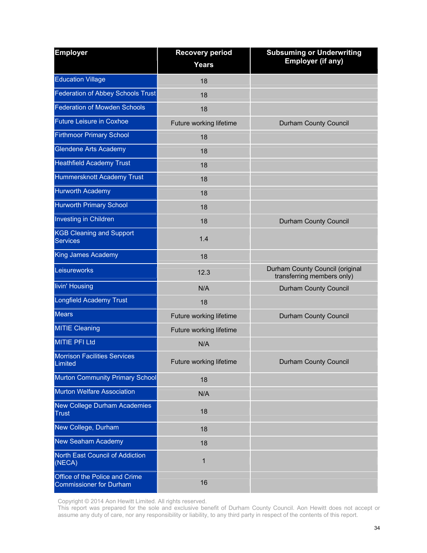| <b>Employer</b>                                                  | <b>Recovery period</b><br><b>Years</b> | <b>Subsuming or Underwriting</b><br><b>Employer (if any)</b>  |
|------------------------------------------------------------------|----------------------------------------|---------------------------------------------------------------|
| <b>Education Village</b>                                         |                                        |                                                               |
|                                                                  | 18                                     |                                                               |
| <b>Federation of Abbey Schools Trust</b>                         | 18                                     |                                                               |
| <b>Federation of Mowden Schools</b>                              | 18                                     |                                                               |
| <b>Future Leisure in Coxhoe</b>                                  | Future working lifetime                | Durham County Council                                         |
| <b>Firthmoor Primary School</b>                                  | 18                                     |                                                               |
| <b>Glendene Arts Academy</b>                                     | 18                                     |                                                               |
| <b>Heathfield Academy Trust</b>                                  | 18                                     |                                                               |
| Hummersknott Academy Trust                                       | 18                                     |                                                               |
| <b>Hurworth Academy</b>                                          | 18                                     |                                                               |
| <b>Hurworth Primary School</b>                                   | 18                                     |                                                               |
| Investing in Children                                            | 18                                     | <b>Durham County Council</b>                                  |
| <b>KGB Cleaning and Support</b><br><b>Services</b>               | 1.4                                    |                                                               |
| <b>King James Academy</b>                                        | 18                                     |                                                               |
| Leisureworks                                                     | 12.3                                   | Durham County Council (original<br>transferring members only) |
| livin' Housing                                                   | N/A                                    | Durham County Council                                         |
| <b>Longfield Academy Trust</b>                                   | 18                                     |                                                               |
| <b>Mears</b>                                                     | Future working lifetime                | Durham County Council                                         |
| <b>MITIE Cleaning</b>                                            | Future working lifetime                |                                                               |
| <b>MITIE PFI Ltd</b>                                             | N/A                                    |                                                               |
| <b>Morrison Facilities Services</b><br>Limited                   | Future working lifetime                | Durham County Council                                         |
| Murton Community Primary School                                  | 18                                     |                                                               |
| <b>Murton Welfare Association</b>                                | N/A                                    |                                                               |
| New College Durham Academies<br><b>Trust</b>                     | 18                                     |                                                               |
| New College, Durham                                              | 18                                     |                                                               |
| New Seaham Academy                                               | 18                                     |                                                               |
| North East Council of Addiction<br>(NECA)                        | 1                                      |                                                               |
| Office of the Police and Crime<br><b>Commissioner for Durham</b> | 16                                     |                                                               |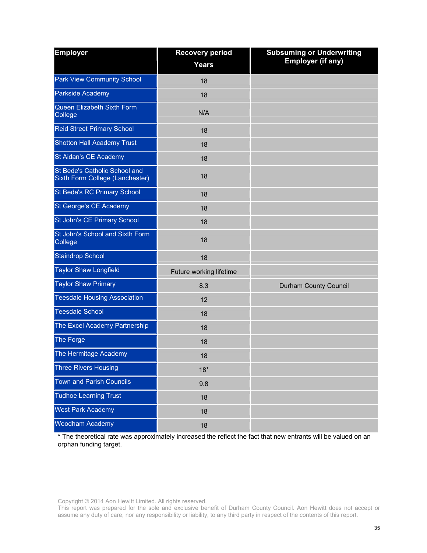| <b>Employer</b>                                                  | <b>Recovery period</b><br><b>Years</b> | <b>Subsuming or Underwriting</b><br><b>Employer (if any)</b> |
|------------------------------------------------------------------|----------------------------------------|--------------------------------------------------------------|
| <b>Park View Community School</b>                                | 18                                     |                                                              |
| Parkside Academy                                                 | 18                                     |                                                              |
| Queen Elizabeth Sixth Form<br>College                            | N/A                                    |                                                              |
| Reid Street Primary School                                       | 18                                     |                                                              |
| <b>Shotton Hall Academy Trust</b>                                | 18                                     |                                                              |
| St Aidan's CE Academy                                            | 18                                     |                                                              |
| St Bede's Catholic School and<br>Sixth Form College (Lanchester) | 18                                     |                                                              |
| St Bede's RC Primary School                                      | 18                                     |                                                              |
| St George's CE Academy                                           | 18                                     |                                                              |
| St John's CE Primary School                                      | 18                                     |                                                              |
| St John's School and Sixth Form<br>College                       | 18                                     |                                                              |
| <b>Staindrop School</b>                                          | 18                                     |                                                              |
| <b>Taylor Shaw Longfield</b>                                     | Future working lifetime                |                                                              |
| <b>Taylor Shaw Primary</b>                                       | 8.3                                    | Durham County Council                                        |
| <b>Teesdale Housing Association</b>                              | 12                                     |                                                              |
| <b>Teesdale School</b>                                           | 18                                     |                                                              |
| The Excel Academy Partnership                                    | 18                                     |                                                              |
| The Forge                                                        | 18                                     |                                                              |
| The Hermitage Academy                                            | 18                                     |                                                              |
| <b>Three Rivers Housing</b>                                      | $18*$                                  |                                                              |
| <b>Town and Parish Councils</b>                                  | 9.8                                    |                                                              |
| <b>Tudhoe Learning Trust</b>                                     | 18                                     |                                                              |
| <b>West Park Academy</b>                                         | 18                                     |                                                              |
| Woodham Academy                                                  | 18                                     |                                                              |

\* The theoretical rate was approximately increased the reflect the fact that new entrants will be valued on an orphan funding target.

Copyright © 2014 Aon Hewitt Limited. All rights reserved.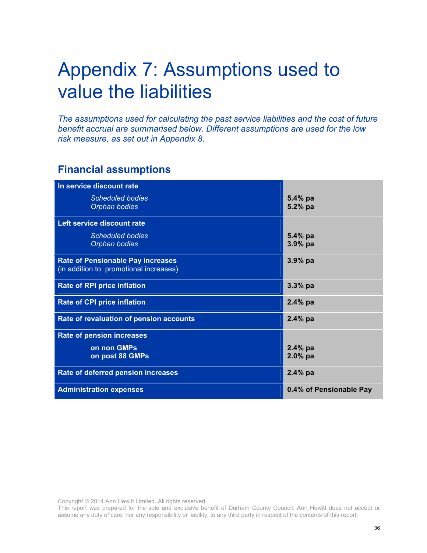### Appendix 7: Assumptions used to value the liabilities

*The assumptions used for calculating the past service liabilities and the cost of future benefit accrual are summarised below. Different assumptions are used for the low risk measure, as set out in Appendix 8.* 

### **Financial assumptions**

| In service discount rate                 |                         |
|------------------------------------------|-------------------------|
| <b>Scheduled bodies</b>                  | $5.4\%$ pa              |
| Orphan bodies                            | 5.2% pa                 |
|                                          |                         |
| Left service discount rate               |                         |
| <b>Scheduled bodies</b>                  | $5.4\%$ pa              |
| Orphan bodies                            | $3.9%$ pa               |
|                                          |                         |
| <b>Rate of Pensionable Pay increases</b> | $3.9%$ pa               |
| (in addition to promotional increases)   |                         |
|                                          |                         |
| <b>Rate of RPI price inflation</b>       | $3.3%$ pa               |
|                                          |                         |
| <b>Rate of CPI price inflation</b>       | $2.4\%$ pa              |
|                                          |                         |
| Rate of revaluation of pension accounts  | $2.4\%$ pa              |
| <b>Rate of pension increases</b>         |                         |
|                                          |                         |
| on non GMPs                              | $2.4\%$ pa              |
| on post 88 GMPs                          | $2.0%$ pa               |
|                                          |                         |
| Rate of deferred pension increases       | $2.4%$ pa               |
|                                          |                         |
| <b>Administration expenses</b>           | 0.4% of Pensionable Pay |

Copyright © 2014 Aon Hewitt Limited. All rights reserved.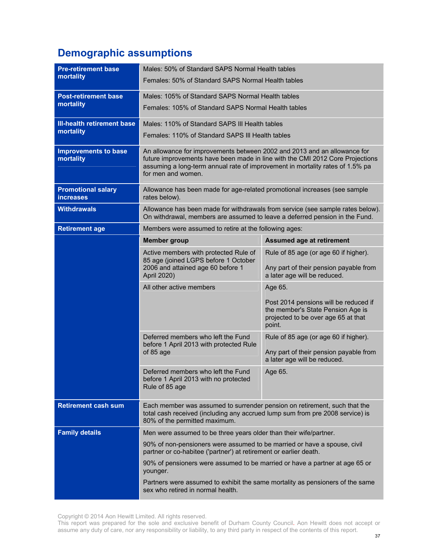### **Demographic assumptions**

| <b>Pre-retirement base</b>                    | Males: 50% of Standard SAPS Normal Health tables                                                                                                                                                                                                                 |                                                                                                                             |  |  |  |
|-----------------------------------------------|------------------------------------------------------------------------------------------------------------------------------------------------------------------------------------------------------------------------------------------------------------------|-----------------------------------------------------------------------------------------------------------------------------|--|--|--|
| mortality                                     | Females: 50% of Standard SAPS Normal Health tables                                                                                                                                                                                                               |                                                                                                                             |  |  |  |
| <b>Post-retirement base</b>                   | Males: 105% of Standard SAPS Normal Health tables                                                                                                                                                                                                                |                                                                                                                             |  |  |  |
| mortality                                     | Females: 105% of Standard SAPS Normal Health tables                                                                                                                                                                                                              |                                                                                                                             |  |  |  |
| <b>III-health retirement base</b>             |                                                                                                                                                                                                                                                                  | Males: 110% of Standard SAPS III Health tables                                                                              |  |  |  |
| mortality                                     | Females: 110% of Standard SAPS III Health tables                                                                                                                                                                                                                 |                                                                                                                             |  |  |  |
| <b>Improvements to base</b><br>mortality      | An allowance for improvements between 2002 and 2013 and an allowance for<br>future improvements have been made in line with the CMI 2012 Core Projections<br>assuming a long-term annual rate of improvement in mortality rates of 1.5% pa<br>for men and women. |                                                                                                                             |  |  |  |
| <b>Promotional salary</b><br><b>increases</b> | Allowance has been made for age-related promotional increases (see sample<br>rates below).                                                                                                                                                                       |                                                                                                                             |  |  |  |
| <b>Withdrawals</b>                            | On withdrawal, members are assumed to leave a deferred pension in the Fund.                                                                                                                                                                                      | Allowance has been made for withdrawals from service (see sample rates below).                                              |  |  |  |
| <b>Retirement age</b>                         | Members were assumed to retire at the following ages:                                                                                                                                                                                                            |                                                                                                                             |  |  |  |
|                                               | <b>Member group</b>                                                                                                                                                                                                                                              | <b>Assumed age at retirement</b>                                                                                            |  |  |  |
|                                               | Active members with protected Rule of<br>85 age (joined LGPS before 1 October<br>2006 and attained age 60 before 1<br>April 2020)                                                                                                                                | Rule of 85 age (or age 60 if higher).<br>Any part of their pension payable from<br>a later age will be reduced.             |  |  |  |
|                                               | All other active members                                                                                                                                                                                                                                         | Age 65.                                                                                                                     |  |  |  |
|                                               |                                                                                                                                                                                                                                                                  | Post 2014 pensions will be reduced if<br>the member's State Pension Age is<br>projected to be over age 65 at that<br>point. |  |  |  |
|                                               | Deferred members who left the Fund<br>before 1 April 2013 with protected Rule<br>of 85 age                                                                                                                                                                       | Rule of 85 age (or age 60 if higher).<br>Any part of their pension payable from<br>a later age will be reduced.             |  |  |  |
|                                               | Deferred members who left the Fund<br>before 1 April 2013 with no protected<br>Rule of 85 age                                                                                                                                                                    | Age 65.                                                                                                                     |  |  |  |
| <b>Retirement cash sum</b>                    | Each member was assumed to surrender pension on retirement, such that the<br>total cash received (including any accrued lump sum from pre 2008 service) is<br>80% of the permitted maximum.                                                                      |                                                                                                                             |  |  |  |
| <b>Family details</b>                         | Men were assumed to be three years older than their wife/partner.                                                                                                                                                                                                |                                                                                                                             |  |  |  |
|                                               | 90% of non-pensioners were assumed to be married or have a spouse, civil<br>partner or co-habitee ('partner') at retirement or earlier death.                                                                                                                    |                                                                                                                             |  |  |  |
|                                               | 90% of pensioners were assumed to be married or have a partner at age 65 or<br>younger.                                                                                                                                                                          |                                                                                                                             |  |  |  |
|                                               | Partners were assumed to exhibit the same mortality as pensioners of the same<br>sex who retired in normal health.                                                                                                                                               |                                                                                                                             |  |  |  |

Copyright © 2014 Aon Hewitt Limited. All rights reserved.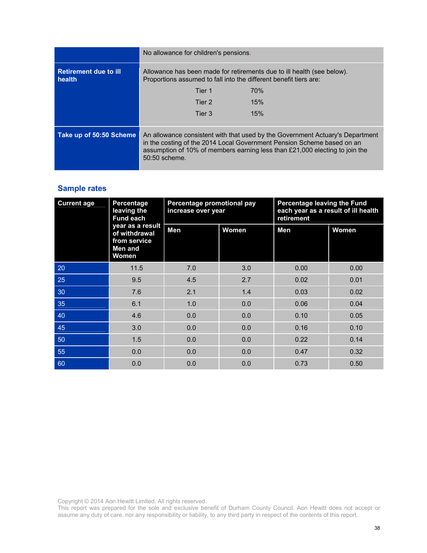|                                        | No allowance for children's pensions.                                                                                                       |     |                                                                                                                                                                                                                                        |  |  |  |  |
|----------------------------------------|---------------------------------------------------------------------------------------------------------------------------------------------|-----|----------------------------------------------------------------------------------------------------------------------------------------------------------------------------------------------------------------------------------------|--|--|--|--|
| <b>Retirement due to ill</b><br>health | Allowance has been made for retirements due to ill health (see below).<br>Proportions assumed to fall into the different benefit tiers are: |     |                                                                                                                                                                                                                                        |  |  |  |  |
|                                        | Tier 1                                                                                                                                      | 70% |                                                                                                                                                                                                                                        |  |  |  |  |
|                                        | Tier 2                                                                                                                                      | 15% |                                                                                                                                                                                                                                        |  |  |  |  |
|                                        | Tier 3                                                                                                                                      | 15% |                                                                                                                                                                                                                                        |  |  |  |  |
|                                        |                                                                                                                                             |     |                                                                                                                                                                                                                                        |  |  |  |  |
| Take up of 50:50 Scheme                | 50:50 scheme.                                                                                                                               |     | An allowance consistent with that used by the Government Actuary's Department<br>in the costing of the 2014 Local Government Pension Scheme based on an<br>assumption of 10% of members earning less than £21,000 electing to join the |  |  |  |  |

#### **Sample rates**

| <b>Current age</b> | Percentage<br>leaving the<br><b>Fund each</b>                         | Percentage promotional pay<br>increase over year |       | Percentage leaving the Fund<br>each year as a result of ill health<br>retirement |       |  |
|--------------------|-----------------------------------------------------------------------|--------------------------------------------------|-------|----------------------------------------------------------------------------------|-------|--|
|                    | year as a result<br>of withdrawal<br>from service<br>Men and<br>Women | Men                                              | Women | Men                                                                              | Women |  |
| 20                 | 11.5                                                                  | 7.0                                              | 3.0   | 0.00                                                                             | 0.00  |  |
| 25                 | 9.5                                                                   | 4.5                                              | 2.7   | 0.02                                                                             | 0.01  |  |
| 30                 | 7.6                                                                   | 2.1                                              | 1.4   | 0.03                                                                             | 0.02  |  |
| 35                 | 6.1                                                                   | 1.0                                              | 0.0   | 0.06                                                                             | 0.04  |  |
| 40                 | 4.6                                                                   | 0.0                                              | 0.0   | 0.10                                                                             | 0.05  |  |
| 45                 | 3.0                                                                   | 0.0                                              | 0.0   | 0.16                                                                             | 0.10  |  |
| 50                 | 1.5                                                                   | 0.0                                              | 0.0   | 0.22                                                                             | 0.14  |  |
| 55                 | 0.0                                                                   | 0.0                                              | 0.0   | 0.47                                                                             | 0.32  |  |
| 60                 | 0.0                                                                   | 0.0                                              | 0.0   | 0.73                                                                             | 0.50  |  |

Copyright © 2014 Aon Hewitt Limited. All rights reserved.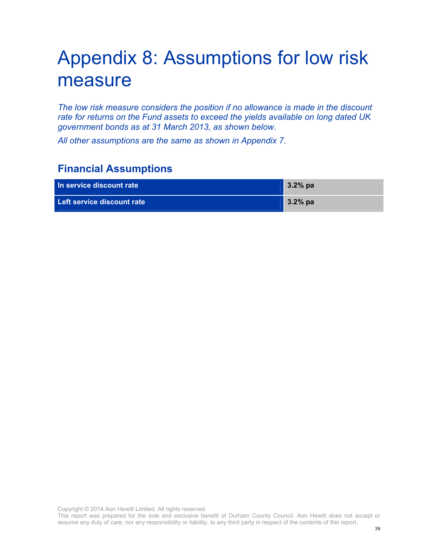### Appendix 8: Assumptions for low risk measure

*The low risk measure considers the position if no allowance is made in the discount rate for returns on the Fund assets to exceed the yields available on long dated UK government bonds as at 31 March 2013, as shown below.* 

*All other assumptions are the same as shown in Appendix 7.* 

### **Financial Assumptions**

| In service discount rate   | $3.2%$ pa |
|----------------------------|-----------|
| Left service discount rate | $3.2%$ pa |

Copyright © 2014 Aon Hewitt Limited. All rights reserved.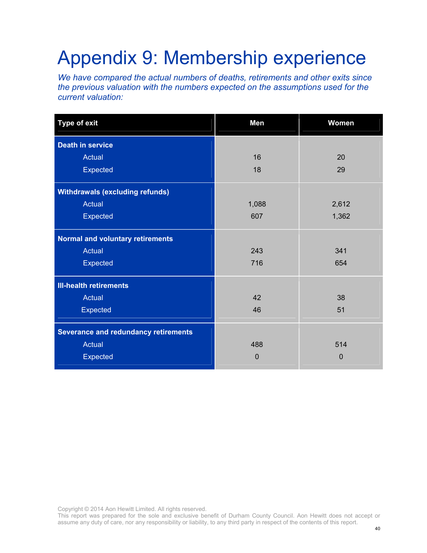# Appendix 9: Membership experience

*We have compared the actual numbers of deaths, retirements and other exits since the previous valuation with the numbers expected on the assumptions used for the current valuation:* 

| <b>Type of exit</b>                         | Men   | Women       |
|---------------------------------------------|-------|-------------|
| <b>Death in service</b>                     |       |             |
| Actual                                      | 16    | 20          |
| Expected                                    | 18    | 29          |
| <b>Withdrawals (excluding refunds)</b>      |       |             |
| <b>Actual</b>                               | 1,088 | 2,612       |
| Expected                                    | 607   | 1,362       |
| <b>Normal and voluntary retirements</b>     |       |             |
| <b>Actual</b>                               | 243   | 341         |
| Expected                                    | 716   | 654         |
| <b>III-health retirements</b>               |       |             |
| <b>Actual</b>                               | 42    | 38          |
| Expected                                    | 46    | 51          |
| <b>Severance and redundancy retirements</b> |       |             |
| <b>Actual</b>                               | 488   | 514         |
| <b>Expected</b>                             | 0     | $\mathbf 0$ |

Copyright © 2014 Aon Hewitt Limited. All rights reserved.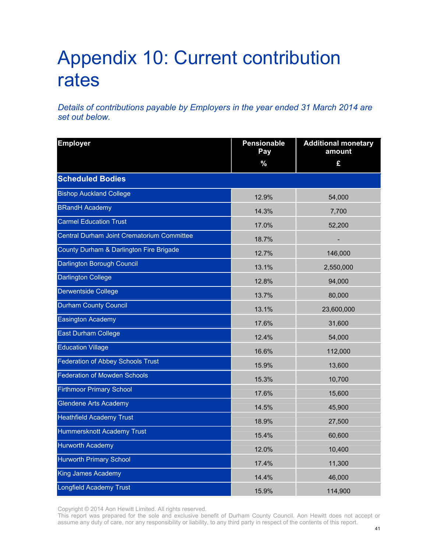## Appendix 10: Current contribution rates

*Details of contributions payable by Employers in the year ended 31 March 2014 are set out below.* 

| <b>Employer</b>                            | Pensionable<br>Pay | <b>Additional monetary</b><br>amount |
|--------------------------------------------|--------------------|--------------------------------------|
|                                            | $\%$               | £                                    |
| <b>Scheduled Bodies</b>                    |                    |                                      |
| <b>Bishop Auckland College</b>             | 12.9%              | 54,000                               |
| <b>BRandH Academy</b>                      | 14.3%              | 7,700                                |
| <b>Carmel Education Trust</b>              | 17.0%              | 52,200                               |
| Central Durham Joint Crematorium Committee | 18.7%              |                                      |
| County Durham & Darlington Fire Brigade    | 12.7%              | 146,000                              |
| Darlington Borough Council                 | 13.1%              | 2,550,000                            |
| <b>Darlington College</b>                  | 12.8%              | 94,000                               |
| <b>Derwentside College</b>                 | 13.7%              | 80,000                               |
| <b>Durham County Council</b>               | 13.1%              | 23,600,000                           |
| <b>Easington Academy</b>                   | 17.6%              | 31,600                               |
| <b>East Durham College</b>                 | 12.4%              | 54,000                               |
| <b>Education Village</b>                   | 16.6%              | 112,000                              |
| <b>Federation of Abbey Schools Trust</b>   | 15.9%              | 13,600                               |
| <b>Federation of Mowden Schools</b>        | 15.3%              | 10,700                               |
| <b>Firthmoor Primary School</b>            | 17.6%              | 15,600                               |
| <b>Glendene Arts Academy</b>               | 14.5%              | 45,900                               |
| <b>Heathfield Academy Trust</b>            | 18.9%              | 27,500                               |
| Hummersknott Academy Trust                 | 15.4%              | 60,600                               |
| <b>Hurworth Academy</b>                    | 12.0%              | 10,400                               |
| <b>Hurworth Primary School</b>             | 17.4%              | 11,300                               |
| King James Academy                         | 14.4%              | 46,000                               |
| Longfield Academy Trust                    | 15.9%              | 114,900                              |

Copyright © 2014 Aon Hewitt Limited. All rights reserved.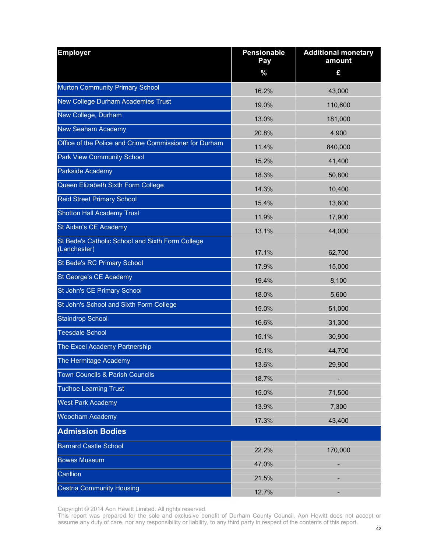| <b>Employer</b>                                                  | Pensionable<br>Pay | <b>Additional monetary</b><br>amount |
|------------------------------------------------------------------|--------------------|--------------------------------------|
|                                                                  | $\%$               | £                                    |
| Murton Community Primary School                                  | 16.2%              | 43,000                               |
| New College Durham Academies Trust                               | 19.0%              | 110,600                              |
| New College, Durham                                              | 13.0%              |                                      |
| <b>New Seaham Academy</b>                                        |                    | 181,000                              |
| Office of the Police and Crime Commissioner for Durham           | 20.8%              | 4,900                                |
| <b>Park View Community School</b>                                | 11.4%              | 840,000                              |
| Parkside Academy                                                 | 15.2%              | 41,400                               |
| Queen Elizabeth Sixth Form College                               | 18.3%              | 50,800                               |
| <b>Reid Street Primary School</b>                                | 14.3%              | 10,400                               |
|                                                                  | 15.4%              | 13,600                               |
| <b>Shotton Hall Academy Trust</b>                                | 11.9%              | 17,900                               |
| St Aidan's CE Academy                                            | 13.1%              | 44,000                               |
| St Bede's Catholic School and Sixth Form College<br>(Lanchester) | 17.1%              | 62,700                               |
| St Bede's RC Primary School                                      | 17.9%              | 15,000                               |
| St George's CE Academy                                           | 19.4%              | 8,100                                |
| St John's CE Primary School                                      | 18.0%              | 5,600                                |
| St John's School and Sixth Form College                          | 15.0%              | 51,000                               |
| <b>Staindrop School</b>                                          | 16.6%              | 31,300                               |
| <b>Teesdale School</b>                                           | 15.1%              | 30,900                               |
| The Excel Academy Partnership                                    | 15.1%              | 44,700                               |
| The Hermitage Academy                                            | 13.6%              | 29,900                               |
| Town Councils & Parish Councils                                  | 18.7%              |                                      |
| <b>Tudhoe Learning Trust</b>                                     | 15.0%              | 71,500                               |
| <b>West Park Academy</b>                                         | 13.9%              | 7,300                                |
| <b>Woodham Academy</b>                                           | 17.3%              | 43,400                               |
| <b>Admission Bodies</b>                                          |                    |                                      |
| <b>Barnard Castle School</b>                                     | 22.2%              | 170,000                              |
| <b>Bowes Museum</b>                                              | 47.0%              |                                      |
| Carillion                                                        | 21.5%              |                                      |
| <b>Cestria Community Housing</b>                                 | 12.7%              |                                      |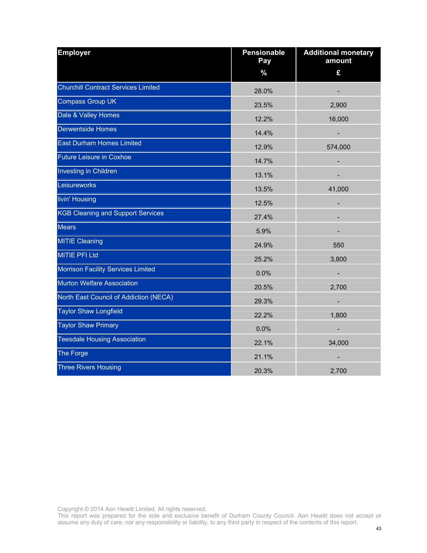| <b>Employer</b>                          | Pensionable<br>Pay | <b>Additional monetary</b><br>amount |
|------------------------------------------|--------------------|--------------------------------------|
|                                          | $\%$               | £                                    |
| Churchill Contract Services Limited      | 28.0%              |                                      |
| Compass Group UK                         | 23.5%              | 2,900                                |
| Dale & Valley Homes                      | 12.2%              | 16,000                               |
| Derwentside Homes                        | 14.4%              |                                      |
| <b>East Durham Homes Limited</b>         | 12.9%              | 574,000                              |
| <b>Future Leisure in Coxhoe</b>          | 14.7%              |                                      |
| Investing in Children                    | 13.1%              |                                      |
| Leisureworks                             | 13.5%              | 41,000                               |
| livin' Housing                           | 12.5%              |                                      |
| <b>KGB Cleaning and Support Services</b> | 27.4%              |                                      |
| <b>Mears</b>                             | 5.9%               |                                      |
| <b>MITIE Cleaning</b>                    | 24.9%              | 550                                  |
| <b>MITIE PFI Ltd</b>                     | 25.2%              | 3,800                                |
| Morrison Facility Services Limited       | 0.0%               | ÷,                                   |
| Murton Welfare Association               | 20.5%              | 2,700                                |
| North East Council of Addiction (NECA)   | 29.3%              | ÷,                                   |
| <b>Taylor Shaw Longfield</b>             | 22.2%              | 1,800                                |
| <b>Taylor Shaw Primary</b>               | 0.0%               | -                                    |
| <b>Teesdale Housing Association</b>      | 22.1%              | 34,000                               |
| The Forge                                | 21.1%              |                                      |
| <b>Three Rivers Housing</b>              | 20.3%              | 2,700                                |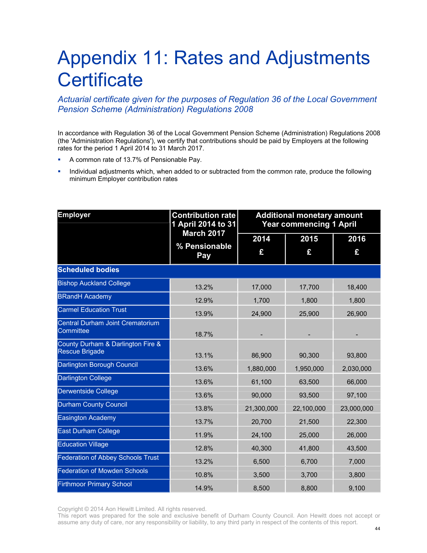### Appendix 11: Rates and Adjustments **Certificate**

#### *Actuarial certificate given for the purposes of Regulation 36 of the Local Government Pension Scheme (Administration) Regulations 2008*

In accordance with Regulation 36 of the Local Government Pension Scheme (Administration) Regulations 2008 (the 'Administration Regulations'), we certify that contributions should be paid by Employers at the following rates for the period 1 April 2014 to 31 March 2017.

- A common rate of 13.7% of Pensionable Pay.
- Individual adjustments which, when added to or subtracted from the common rate, produce the following minimum Employer contribution rates

| <b>Employer</b>                                            | <b>Contribution rate</b><br>1 April 2014 to 31 | <b>Additional monetary amount</b><br><b>Year commencing 1 April</b> |            |            |  |
|------------------------------------------------------------|------------------------------------------------|---------------------------------------------------------------------|------------|------------|--|
|                                                            | <b>March 2017</b>                              | 2014                                                                | 2015       | 2016       |  |
|                                                            | % Pensionable<br>Pay                           | £                                                                   | £          | £          |  |
| <b>Scheduled bodies</b>                                    |                                                |                                                                     |            |            |  |
| <b>Bishop Auckland College</b>                             | 13.2%                                          | 17,000                                                              | 17,700     | 18,400     |  |
| <b>BRandH Academy</b>                                      | 12.9%                                          | 1,700                                                               | 1,800      | 1,800      |  |
| <b>Carmel Education Trust</b>                              | 13.9%                                          | 24,900                                                              | 25,900     | 26,900     |  |
| <b>Central Durham Joint Crematorium</b><br>Committee       | 18.7%                                          |                                                                     |            |            |  |
| County Durham & Darlington Fire &<br><b>Rescue Brigade</b> | 13.1%                                          | 86,900                                                              | 90,300     | 93,800     |  |
| Darlington Borough Council                                 | 13.6%                                          | 1,880,000                                                           | 1,950,000  | 2,030,000  |  |
| <b>Darlington College</b>                                  | 13.6%                                          | 61,100                                                              | 63,500     | 66,000     |  |
| <b>Derwentside College</b>                                 | 13.6%                                          | 90,000                                                              | 93,500     | 97,100     |  |
| <b>Durham County Council</b>                               | 13.8%                                          | 21,300,000                                                          | 22,100,000 | 23,000,000 |  |
| <b>Easington Academy</b>                                   | 13.7%                                          | 20,700                                                              | 21,500     | 22,300     |  |
| <b>East Durham College</b>                                 | 11.9%                                          | 24,100                                                              | 25,000     | 26,000     |  |
| <b>Education Village</b>                                   | 12.8%                                          | 40,300                                                              | 41,800     | 43,500     |  |
| <b>Federation of Abbey Schools Trust</b>                   | 13.2%                                          | 6,500                                                               | 6,700      | 7,000      |  |
| <b>Federation of Mowden Schools</b>                        | 10.8%                                          | 3,500                                                               | 3,700      | 3,800      |  |
| <b>Firthmoor Primary School</b>                            | 14.9%                                          | 8,500                                                               | 8,800      | 9,100      |  |

Copyright © 2014 Aon Hewitt Limited. All rights reserved.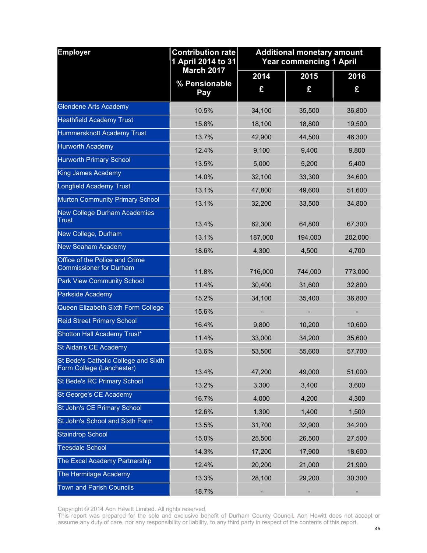| <b>Employer</b>                                                   | <b>Contribution rate</b><br>1 April 2014 to 31 |           | <b>Additional monetary amount</b><br><b>Year commencing 1 April</b> |           |
|-------------------------------------------------------------------|------------------------------------------------|-----------|---------------------------------------------------------------------|-----------|
|                                                                   | <b>March 2017</b><br>% Pensionable<br>Pay      | 2014<br>£ | 2015<br>£                                                           | 2016<br>£ |
| <b>Glendene Arts Academy</b>                                      | 10.5%                                          | 34,100    | 35,500                                                              | 36,800    |
| <b>Heathfield Academy Trust</b>                                   | 15.8%                                          | 18,100    | 18,800                                                              | 19,500    |
| <b>Hummersknott Academy Trust</b>                                 | 13.7%                                          | 42,900    | 44,500                                                              | 46,300    |
| <b>Hurworth Academy</b>                                           | 12.4%                                          | 9,100     | 9,400                                                               | 9,800     |
| <b>Hurworth Primary School</b>                                    | 13.5%                                          | 5,000     | 5,200                                                               | 5,400     |
| King James Academy                                                | 14.0%                                          | 32,100    | 33,300                                                              | 34,600    |
| <b>Longfield Academy Trust</b>                                    | 13.1%                                          | 47,800    | 49,600                                                              | 51,600    |
| Murton Community Primary School                                   | 13.1%                                          | 32,200    | 33,500                                                              | 34,800    |
| New College Durham Academies<br><b>Trust</b>                      | 13.4%                                          | 62,300    | 64,800                                                              | 67,300    |
| New College, Durham                                               | 13.1%                                          | 187,000   | 194,000                                                             | 202,000   |
| <b>New Seaham Academy</b>                                         | 18.6%                                          | 4,300     | 4,500                                                               | 4,700     |
| Office of the Police and Crime<br><b>Commissioner for Durham</b>  | 11.8%                                          | 716,000   | 744,000                                                             | 773,000   |
| <b>Park View Community School</b>                                 | 11.4%                                          | 30,400    | 31,600                                                              | 32,800    |
| Parkside Academy                                                  | 15.2%                                          | 34,100    | 35,400                                                              | 36,800    |
| Queen Elizabeth Sixth Form College                                | 15.6%                                          |           |                                                                     |           |
| <b>Reid Street Primary School</b>                                 | 16.4%                                          | 9,800     | 10,200                                                              | 10,600    |
| Shotton Hall Academy Trust*                                       | 11.4%                                          | 33,000    | 34,200                                                              | 35,600    |
| St Aidan's CE Academy                                             | 13.6%                                          | 53,500    | 55,600                                                              | 57,700    |
| St Bede's Catholic College and Sixth<br>Form College (Lanchester) | 13.4%                                          | 47,200    | 49,000                                                              | 51,000    |
| St Bede's RC Primary School                                       | 13.2%                                          | 3,300     | 3,400                                                               | 3,600     |
| St George's CE Academy                                            | 16.7%                                          | 4,000     | 4,200                                                               | 4,300     |
| St John's CE Primary School                                       | 12.6%                                          | 1,300     | 1,400                                                               | 1,500     |
| St John's School and Sixth Form                                   | 13.5%                                          | 31,700    | 32,900                                                              | 34,200    |
| <b>Staindrop School</b>                                           | 15.0%                                          | 25,500    | 26,500                                                              | 27,500    |
| <b>Teesdale School</b>                                            | 14.3%                                          | 17,200    | 17,900                                                              | 18,600    |
| The Excel Academy Partnership                                     | 12.4%                                          | 20,200    | 21,000                                                              | 21,900    |
| The Hermitage Academy                                             | 13.3%                                          | 28,100    | 29,200                                                              | 30,300    |
| <b>Town and Parish Councils</b>                                   | 18.7%                                          |           |                                                                     |           |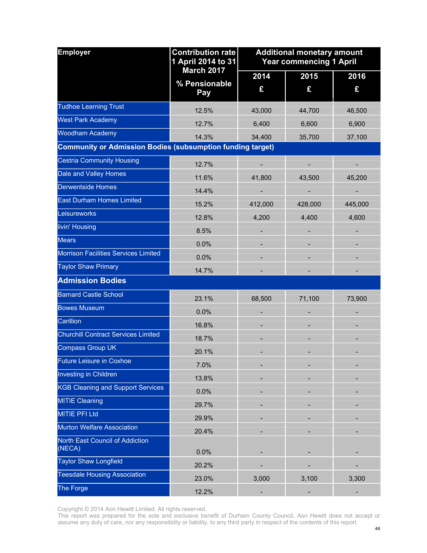| <b>Employer</b>                                                   | <b>Contribution rate</b><br>1 April 2014 to 31 |           | <b>Additional monetary amount</b><br><b>Year commencing 1 April</b> |           |  |
|-------------------------------------------------------------------|------------------------------------------------|-----------|---------------------------------------------------------------------|-----------|--|
|                                                                   | <b>March 2017</b><br>% Pensionable<br>Pay      | 2014<br>£ | 2015<br>£                                                           | 2016<br>£ |  |
| <b>Tudhoe Learning Trust</b>                                      | 12.5%                                          | 43,000    | 44,700                                                              | 46,500    |  |
| <b>West Park Academy</b>                                          | 12.7%                                          | 6,400     | 6,600                                                               | 6,900     |  |
| <b>Woodham Academy</b>                                            | 14.3%                                          | 34,400    | 35,700                                                              | 37,100    |  |
| <b>Community or Admission Bodies (subsumption funding target)</b> |                                                |           |                                                                     |           |  |
| <b>Cestria Community Housing</b>                                  | 12.7%                                          |           |                                                                     |           |  |
| Dale and Valley Homes                                             | 11.6%                                          | 41,800    | 43,500                                                              | 45,200    |  |
| <b>Derwentside Homes</b>                                          | 14.4%                                          |           |                                                                     |           |  |
| <b>East Durham Homes Limited</b>                                  | 15.2%                                          | 412,000   | 428,000                                                             | 445,000   |  |
| Leisureworks                                                      | 12.8%                                          | 4,200     | 4,400                                                               | 4,600     |  |
| livin' Housing                                                    | 8.5%                                           |           |                                                                     |           |  |
| <b>Mears</b>                                                      | 0.0%                                           |           |                                                                     |           |  |
| Morrison Facilities Services Limited                              | 0.0%                                           |           |                                                                     |           |  |
| <b>Taylor Shaw Primary</b>                                        | 14.7%                                          |           |                                                                     |           |  |
| <b>Admission Bodies</b>                                           |                                                |           |                                                                     |           |  |
| <b>Barnard Castle School</b>                                      | 23.1%                                          | 68,500    | 71,100                                                              | 73,900    |  |
| <b>Bowes Museum</b>                                               | 0.0%                                           |           |                                                                     |           |  |
| Carillion                                                         | 16.8%                                          |           |                                                                     |           |  |
| <b>Churchill Contract Services Limited</b>                        | 18.7%                                          |           |                                                                     |           |  |
| <b>Compass Group UK</b>                                           | 20.1%                                          |           |                                                                     |           |  |
| <b>Future Leisure in Coxhoe</b>                                   | 7.0%                                           |           |                                                                     |           |  |
| <b>Investing in Children</b>                                      | 13.8%                                          |           |                                                                     |           |  |
| <b>KGB Cleaning and Support Services</b>                          | 0.0%                                           |           |                                                                     |           |  |
| <b>MITIE Cleaning</b>                                             | 29.7%                                          |           |                                                                     |           |  |
| <b>MITIE PFI Ltd</b>                                              | 29.9%                                          |           |                                                                     |           |  |
| Murton Welfare Association                                        | 20.4%                                          |           |                                                                     |           |  |
| North East Council of Addiction<br>(NECA)                         | 0.0%                                           |           |                                                                     |           |  |
| <b>Taylor Shaw Longfield</b>                                      | 20.2%                                          |           |                                                                     |           |  |
| <b>Teesdale Housing Association</b>                               | 23.0%                                          | 3,000     | 3,100                                                               | 3,300     |  |
| The Forge                                                         | 12.2%                                          |           |                                                                     |           |  |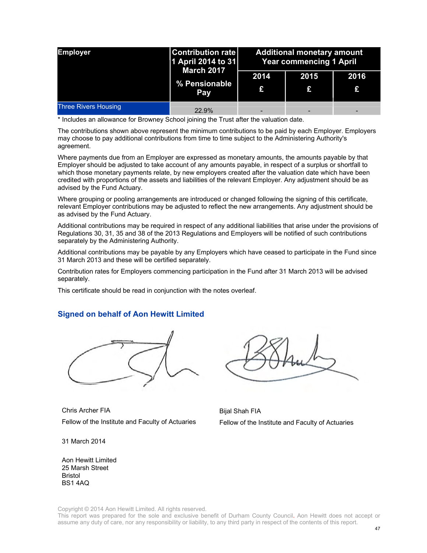| <b>Employer</b>             | <b>Contribution rate</b><br>1 April 2014 to 31<br><b>March 2017</b><br>% Pensionable<br>Pay | <b>Additional monetary amount</b><br><b>Year commencing 1 April</b> |                          |           |
|-----------------------------|---------------------------------------------------------------------------------------------|---------------------------------------------------------------------|--------------------------|-----------|
|                             |                                                                                             | 2014<br>£                                                           | 2015<br>£                | 2016<br>£ |
| <b>Three Rivers Housing</b> | 22.9%                                                                                       |                                                                     | $\overline{\phantom{0}}$ |           |

\* Includes an allowance for Browney School joining the Trust after the valuation date.

The contributions shown above represent the minimum contributions to be paid by each Employer. Employers may choose to pay additional contributions from time to time subject to the Administering Authority's agreement.

Where payments due from an Employer are expressed as monetary amounts, the amounts payable by that Employer should be adjusted to take account of any amounts payable, in respect of a surplus or shortfall to which those monetary payments relate, by new employers created after the valuation date which have been credited with proportions of the assets and liabilities of the relevant Employer. Any adjustment should be as advised by the Fund Actuary.

Where grouping or pooling arrangements are introduced or changed following the signing of this certificate, relevant Employer contributions may be adjusted to reflect the new arrangements. Any adjustment should be as advised by the Fund Actuary.

Additional contributions may be required in respect of any additional liabilities that arise under the provisions of Regulations 30, 31, 35 and 38 of the 2013 Regulations and Employers will be notified of such contributions separately by the Administering Authority.

Additional contributions may be payable by any Employers which have ceased to participate in the Fund since 31 March 2013 and these will be certified separately.

Contribution rates for Employers commencing participation in the Fund after 31 March 2013 will be advised separately.

This certificate should be read in conjunction with the notes overleaf.

#### **Signed on behalf of Aon Hewitt Limited**



Chris Archer FIA Fellow of the Institute and Faculty of Actuaries

31 March 2014

Bijal Shah FIA Fellow of the Institute and Faculty of Actuaries

Aon Hewitt Limited 25 Marsh Street Bristol BS1 4AQ

Copyright © 2014 Aon Hewitt Limited. All rights reserved.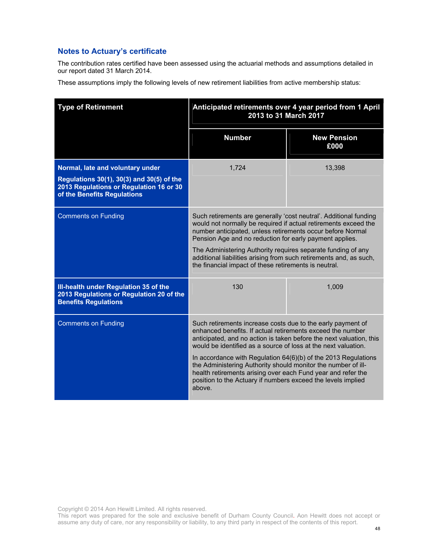#### **Notes to Actuary's certificate**

The contribution rates certified have been assessed using the actuarial methods and assumptions detailed in our report dated 31 March 2014.

These assumptions imply the following levels of new retirement liabilities from active membership status:

| <b>Type of Retirement</b>                                                                                                                               | Anticipated retirements over 4 year period from 1 April<br>2013 to 31 March 2017                                                                                                                                                                                          |                            |  |
|---------------------------------------------------------------------------------------------------------------------------------------------------------|---------------------------------------------------------------------------------------------------------------------------------------------------------------------------------------------------------------------------------------------------------------------------|----------------------------|--|
|                                                                                                                                                         | <b>Number</b>                                                                                                                                                                                                                                                             | <b>New Pension</b><br>£000 |  |
| Normal, late and voluntary under<br>Regulations 30(1), 30(3) and 30(5) of the<br>2013 Regulations or Regulation 16 or 30<br>of the Benefits Regulations | 1,724                                                                                                                                                                                                                                                                     | 13,398                     |  |
| <b>Comments on Funding</b>                                                                                                                              | Such retirements are generally 'cost neutral'. Additional funding<br>would not normally be required if actual retirements exceed the<br>number anticipated, unless retirements occur before Normal<br>Pension Age and no reduction for early payment applies.             |                            |  |
|                                                                                                                                                         | The Administering Authority requires separate funding of any<br>additional liabilities arising from such retirements and, as such,<br>the financial impact of these retirements is neutral.                                                                               |                            |  |
| Ill-health under Regulation 35 of the<br>2013 Regulations or Regulation 20 of the<br><b>Benefits Regulations</b>                                        | 130                                                                                                                                                                                                                                                                       | 1,009                      |  |
| <b>Comments on Funding</b>                                                                                                                              | Such retirements increase costs due to the early payment of<br>enhanced benefits. If actual retirements exceed the number<br>anticipated, and no action is taken before the next valuation, this<br>would be identified as a source of loss at the next valuation.        |                            |  |
|                                                                                                                                                         | In accordance with Regulation 64(6)(b) of the 2013 Regulations<br>the Administering Authority should monitor the number of ill-<br>health retirements arising over each Fund year and refer the<br>position to the Actuary if numbers exceed the levels implied<br>above. |                            |  |

Copyright © 2014 Aon Hewitt Limited. All rights reserved.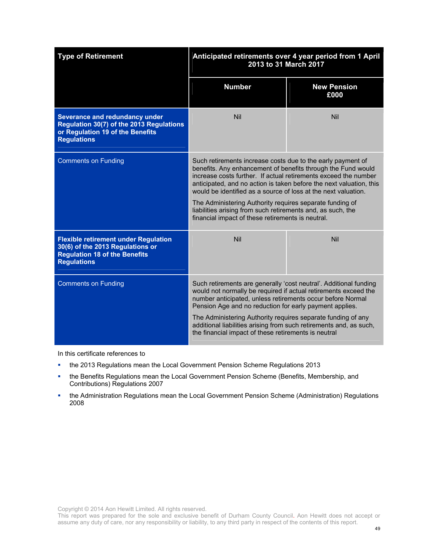| <b>Type of Retirement</b>                                                                                                                     | Anticipated retirements over 4 year period from 1 April<br>2013 to 31 March 2017                                                                                                                                                                                                                                                                                                                                                                                                                                        |                            |
|-----------------------------------------------------------------------------------------------------------------------------------------------|-------------------------------------------------------------------------------------------------------------------------------------------------------------------------------------------------------------------------------------------------------------------------------------------------------------------------------------------------------------------------------------------------------------------------------------------------------------------------------------------------------------------------|----------------------------|
|                                                                                                                                               | <b>Number</b>                                                                                                                                                                                                                                                                                                                                                                                                                                                                                                           | <b>New Pension</b><br>£000 |
| Severance and redundancy under<br>Regulation 30(7) of the 2013 Regulations<br>or Regulation 19 of the Benefits<br><b>Regulations</b>          | <b>Nil</b>                                                                                                                                                                                                                                                                                                                                                                                                                                                                                                              | Nil                        |
| <b>Comments on Funding</b>                                                                                                                    | Such retirements increase costs due to the early payment of<br>benefits. Any enhancement of benefits through the Fund would<br>increase costs further. If actual retirements exceed the number<br>anticipated, and no action is taken before the next valuation, this<br>would be identified as a source of loss at the next valuation.<br>The Administering Authority requires separate funding of<br>liabilities arising from such retirements and, as such, the<br>financial impact of these retirements is neutral. |                            |
| <b>Flexible retirement under Regulation</b><br>30(6) of the 2013 Regulations or<br><b>Regulation 18 of the Benefits</b><br><b>Regulations</b> | <b>Nil</b>                                                                                                                                                                                                                                                                                                                                                                                                                                                                                                              | <b>Nil</b>                 |
| <b>Comments on Funding</b>                                                                                                                    | Such retirements are generally 'cost neutral'. Additional funding<br>would not normally be required if actual retirements exceed the<br>number anticipated, unless retirements occur before Normal<br>Pension Age and no reduction for early payment applies.<br>The Administering Authority requires separate funding of any<br>additional liabilities arising from such retirements and, as such,<br>the financial impact of these retirements is neutral                                                             |                            |

In this certificate references to

- the 2013 Regulations mean the Local Government Pension Scheme Regulations 2013
- **the Benefits Regulations mean the Local Government Pension Scheme (Benefits, Membership, and** Contributions) Regulations 2007
- the Administration Regulations mean the Local Government Pension Scheme (Administration) Regulations 2008

Copyright © 2014 Aon Hewitt Limited. All rights reserved.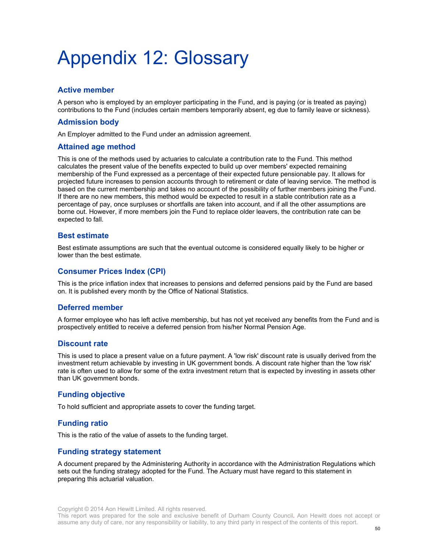# Appendix 12: Glossary

#### **Active member**

A person who is employed by an employer participating in the Fund, and is paying (or is treated as paying) contributions to the Fund (includes certain members temporarily absent, eg due to family leave or sickness).

#### **Admission body**

An Employer admitted to the Fund under an admission agreement.

#### **Attained age method**

This is one of the methods used by actuaries to calculate a contribution rate to the Fund. This method calculates the present value of the benefits expected to build up over members' expected remaining membership of the Fund expressed as a percentage of their expected future pensionable pay. It allows for projected future increases to pension accounts through to retirement or date of leaving service. The method is based on the current membership and takes no account of the possibility of further members joining the Fund. If there are no new members, this method would be expected to result in a stable contribution rate as a percentage of pay, once surpluses or shortfalls are taken into account, and if all the other assumptions are borne out. However, if more members join the Fund to replace older leavers, the contribution rate can be expected to fall.

#### **Best estimate**

Best estimate assumptions are such that the eventual outcome is considered equally likely to be higher or lower than the best estimate.

#### **Consumer Prices Index (CPI)**

This is the price inflation index that increases to pensions and deferred pensions paid by the Fund are based on. It is published every month by the Office of National Statistics.

#### **Deferred member**

A former employee who has left active membership, but has not yet received any benefits from the Fund and is prospectively entitled to receive a deferred pension from his/her Normal Pension Age.

#### **Discount rate**

This is used to place a present value on a future payment. A 'low risk' discount rate is usually derived from the investment return achievable by investing in UK government bonds. A discount rate higher than the 'low risk' rate is often used to allow for some of the extra investment return that is expected by investing in assets other than UK government bonds.

#### **Funding objective**

To hold sufficient and appropriate assets to cover the funding target.

#### **Funding ratio**

This is the ratio of the value of assets to the funding target.

#### **Funding strategy statement**

A document prepared by the Administering Authority in accordance with the Administration Regulations which sets out the funding strategy adopted for the Fund. The Actuary must have regard to this statement in preparing this actuarial valuation.

This report was prepared for the sole and exclusive benefit of Durham County Council. Aon Hewitt does not accept or assume any duty of care, nor any responsibility or liability, to any third party in respect of the contents of this report.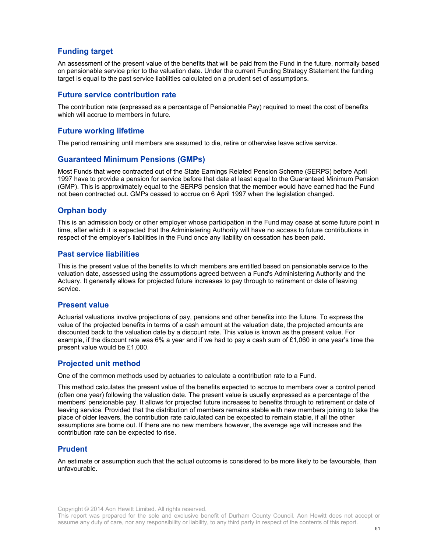#### **Funding target**

An assessment of the present value of the benefits that will be paid from the Fund in the future, normally based on pensionable service prior to the valuation date. Under the current Funding Strategy Statement the funding target is equal to the past service liabilities calculated on a prudent set of assumptions.

#### **Future service contribution rate**

The contribution rate (expressed as a percentage of Pensionable Pay) required to meet the cost of benefits which will accrue to members in future.

#### **Future working lifetime**

The period remaining until members are assumed to die, retire or otherwise leave active service.

#### **Guaranteed Minimum Pensions (GMPs)**

Most Funds that were contracted out of the State Earnings Related Pension Scheme (SERPS) before April 1997 have to provide a pension for service before that date at least equal to the Guaranteed Minimum Pension (GMP). This is approximately equal to the SERPS pension that the member would have earned had the Fund not been contracted out. GMPs ceased to accrue on 6 April 1997 when the legislation changed.

#### **Orphan body**

This is an admission body or other employer whose participation in the Fund may cease at some future point in time, after which it is expected that the Administering Authority will have no access to future contributions in respect of the employer's liabilities in the Fund once any liability on cessation has been paid.

#### **Past service liabilities**

This is the present value of the benefits to which members are entitled based on pensionable service to the valuation date, assessed using the assumptions agreed between a Fund's Administering Authority and the Actuary. It generally allows for projected future increases to pay through to retirement or date of leaving service.

#### **Present value**

Actuarial valuations involve projections of pay, pensions and other benefits into the future. To express the value of the projected benefits in terms of a cash amount at the valuation date, the projected amounts are discounted back to the valuation date by a discount rate. This value is known as the present value. For example, if the discount rate was 6% a year and if we had to pay a cash sum of £1,060 in one year's time the present value would be £1,000.

#### **Projected unit method**

One of the common methods used by actuaries to calculate a contribution rate to a Fund.

This method calculates the present value of the benefits expected to accrue to members over a control period (often one year) following the valuation date. The present value is usually expressed as a percentage of the members' pensionable pay. It allows for projected future increases to benefits through to retirement or date of leaving service. Provided that the distribution of members remains stable with new members joining to take the place of older leavers, the contribution rate calculated can be expected to remain stable, if all the other assumptions are borne out. If there are no new members however, the average age will increase and the contribution rate can be expected to rise.

#### **Prudent**

An estimate or assumption such that the actual outcome is considered to be more likely to be favourable, than unfavourable.

Copyright © 2014 Aon Hewitt Limited. All rights reserved.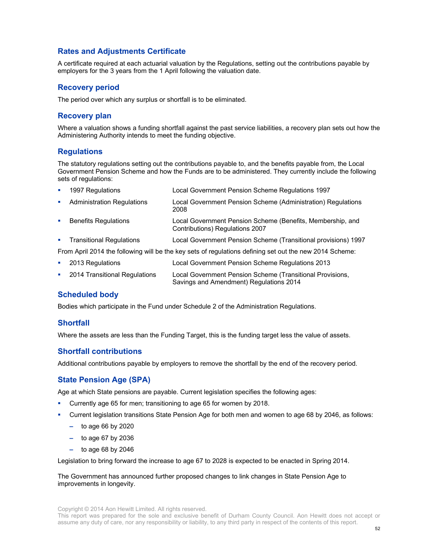#### **Rates and Adjustments Certificate**

A certificate required at each actuarial valuation by the Regulations, setting out the contributions payable by employers for the 3 years from the 1 April following the valuation date.

#### **Recovery period**

The period over which any surplus or shortfall is to be eliminated.

#### **Recovery plan**

Where a valuation shows a funding shortfall against the past service liabilities, a recovery plan sets out how the Administering Authority intends to meet the funding objective.

#### **Regulations**

The statutory regulations setting out the contributions payable to, and the benefits payable from, the Local Government Pension Scheme and how the Funds are to be administered. They currently include the following sets of regulations:

| ×                                                                                                       | 1997 Regulations                  | Local Government Pension Scheme Regulations 1997                                              |  |  |  |
|---------------------------------------------------------------------------------------------------------|-----------------------------------|-----------------------------------------------------------------------------------------------|--|--|--|
| ×                                                                                                       | <b>Administration Regulations</b> | Local Government Pension Scheme (Administration) Regulations<br>2008                          |  |  |  |
| ×                                                                                                       | <b>Benefits Regulations</b>       | Local Government Pension Scheme (Benefits, Membership, and<br>Contributions) Regulations 2007 |  |  |  |
|                                                                                                         | • Transitional Regulations        | Local Government Pension Scheme (Transitional provisions) 1997                                |  |  |  |
| From April 2014 the following will be the key sets of regulations defining set out the new 2014 Scheme: |                                   |                                                                                               |  |  |  |
| ×                                                                                                       | 2013 Regulations                  | Local Government Pension Scheme Regulations 2013                                              |  |  |  |
|                                                                                                         |                                   |                                                                                               |  |  |  |

 2014 Transitional Regulations Local Government Pension Scheme (Transitional Provisions, Savings and Amendment) Regulations 2014

#### **Scheduled body**

Bodies which participate in the Fund under Schedule 2 of the Administration Regulations.

#### **Shortfall**

Where the assets are less than the Funding Target, this is the funding target less the value of assets.

#### **Shortfall contributions**

Additional contributions payable by employers to remove the shortfall by the end of the recovery period.

#### **State Pension Age (SPA)**

Age at which State pensions are payable. Current legislation specifies the following ages:

- Currently age 65 for men; transitioning to age 65 for women by 2018.
- Current legislation transitions State Pension Age for both men and women to age 68 by 2046, as follows:
	- to age 66 by 2020
	- to age 67 by 2036
	- to age 68 by 2046

Legislation to bring forward the increase to age 67 to 2028 is expected to be enacted in Spring 2014.

The Government has announced further proposed changes to link changes in State Pension Age to improvements in longevity.

Copyright © 2014 Aon Hewitt Limited. All rights reserved.